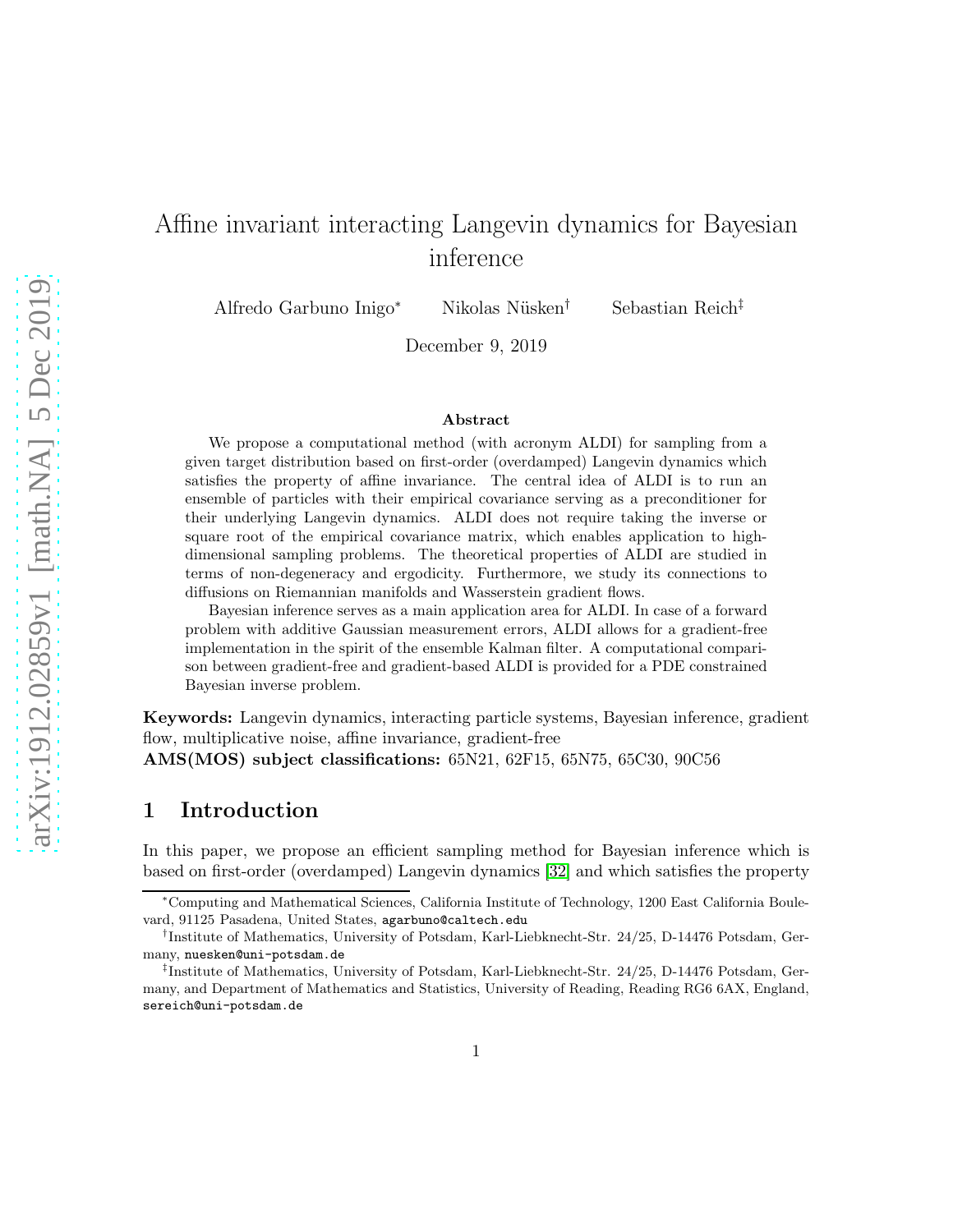# Affine invariant interacting Langevin dynamics for Bayesian inference

Alfredo Garbuno Inigo<sup>∗</sup> Nikolas Nüsken<sup>†</sup> Sebastian Reich<sup>‡</sup>

December 9, 2019

#### Abstract

We propose a computational method (with acronym ALDI) for sampling from a given target distribution based on first-order (overdamped) Langevin dynamics which satisfies the property of affine invariance. The central idea of ALDI is to run an ensemble of particles with their empirical covariance serving as a preconditioner for their underlying Langevin dynamics. ALDI does not require taking the inverse or square root of the empirical covariance matrix, which enables application to highdimensional sampling problems. The theoretical properties of ALDI are studied in terms of non-degeneracy and ergodicity. Furthermore, we study its connections to diffusions on Riemannian manifolds and Wasserstein gradient flows.

Bayesian inference serves as a main application area for ALDI. In case of a forward problem with additive Gaussian measurement errors, ALDI allows for a gradient-free implementation in the spirit of the ensemble Kalman filter. A computational comparison between gradient-free and gradient-based ALDI is provided for a PDE constrained Bayesian inverse problem.

Keywords: Langevin dynamics, interacting particle systems, Bayesian inference, gradient flow, multiplicative noise, affine invariance, gradient-free

AMS(MOS) subject classifications: 65N21, 62F15, 65N75, 65C30, 90C56

### 1 Introduction

In this paper, we propose an efficient sampling method for Bayesian inference which is based on first-order (overdamped) Langevin dynamics [\[32\]](#page-27-0) and which satisfies the property

<sup>∗</sup>Computing and Mathematical Sciences, California Institute of Technology, 1200 East California Boulevard, 91125 Pasadena, United States, agarbuno@caltech.edu

<sup>†</sup> Institute of Mathematics, University of Potsdam, Karl-Liebknecht-Str. 24/25, D-14476 Potsdam, Germany, nuesken@uni-potsdam.de

<sup>‡</sup> Institute of Mathematics, University of Potsdam, Karl-Liebknecht-Str. 24/25, D-14476 Potsdam, Germany, and Department of Mathematics and Statistics, University of Reading, Reading RG6 6AX, England, sereich@uni-potsdam.de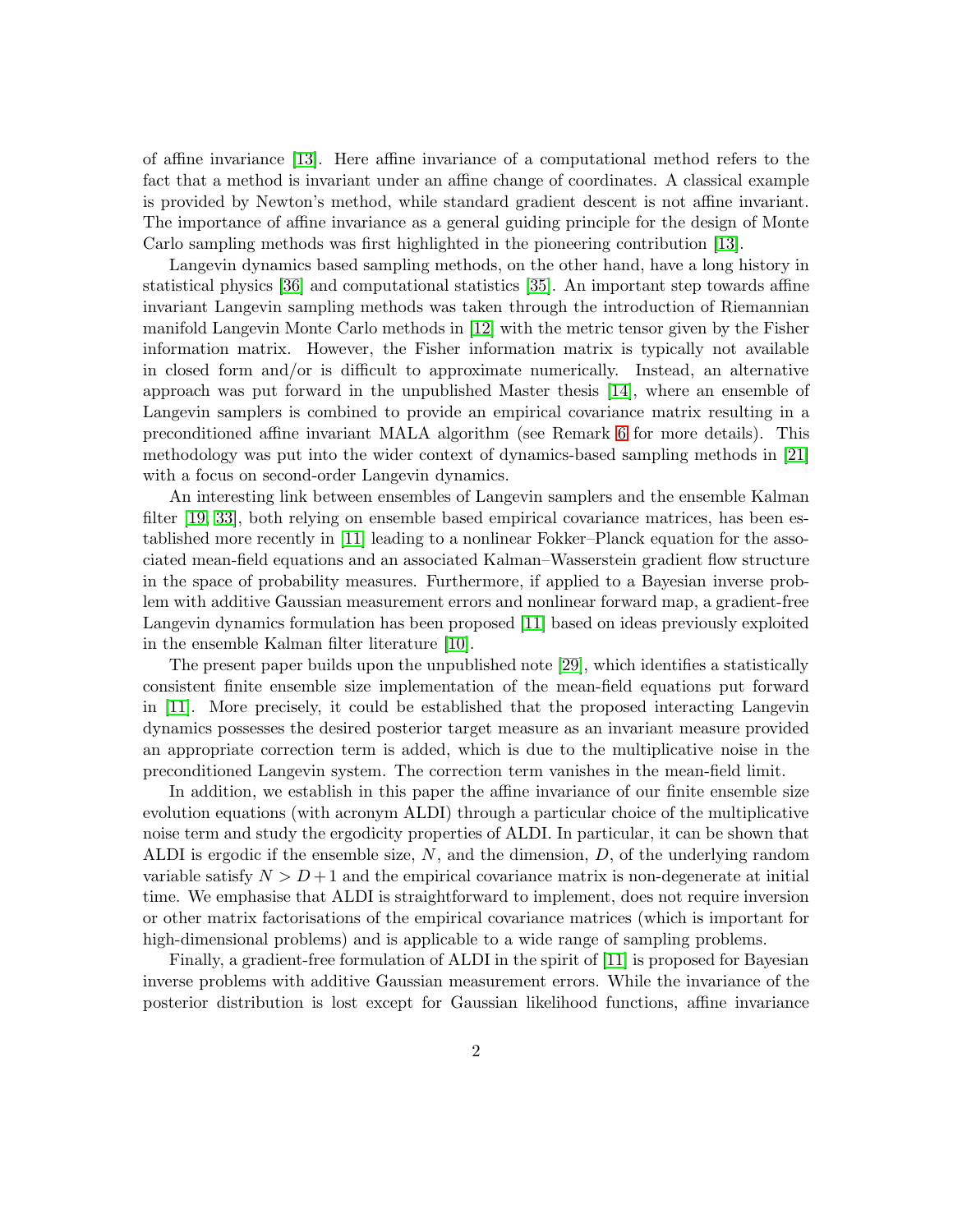of affine invariance [\[13\]](#page-26-0). Here affine invariance of a computational method refers to the fact that a method is invariant under an affine change of coordinates. A classical example is provided by Newton's method, while standard gradient descent is not affine invariant. The importance of affine invariance as a general guiding principle for the design of Monte Carlo sampling methods was first highlighted in the pioneering contribution [\[13\]](#page-26-0).

Langevin dynamics based sampling methods, on the other hand, have a long history in statistical physics [\[36\]](#page-27-1) and computational statistics [\[35\]](#page-27-2). An important step towards affine invariant Langevin sampling methods was taken through the introduction of Riemannian manifold Langevin Monte Carlo methods in [\[12\]](#page-26-1) with the metric tensor given by the Fisher information matrix. However, the Fisher information matrix is typically not available in closed form and/or is difficult to approximate numerically. Instead, an alternative approach was put forward in the unpublished Master thesis [\[14\]](#page-26-2), where an ensemble of Langevin samplers is combined to provide an empirical covariance matrix resulting in a preconditioned affine invariant MALA algorithm (see Remark [6](#page-8-0) for more details). This methodology was put into the wider context of dynamics-based sampling methods in [\[21\]](#page-26-3) with a focus on second-order Langevin dynamics.

An interesting link between ensembles of Langevin samplers and the ensemble Kalman filter [\[19,](#page-26-4) [33\]](#page-27-3), both relying on ensemble based empirical covariance matrices, has been established more recently in [\[11\]](#page-26-5) leading to a nonlinear Fokker–Planck equation for the associated mean-field equations and an associated Kalman–Wasserstein gradient flow structure in the space of probability measures. Furthermore, if applied to a Bayesian inverse problem with additive Gaussian measurement errors and nonlinear forward map, a gradient-free Langevin dynamics formulation has been proposed [\[11\]](#page-26-5) based on ideas previously exploited in the ensemble Kalman filter literature [\[10\]](#page-26-6).

The present paper builds upon the unpublished note [\[29\]](#page-27-4), which identifies a statistically consistent finite ensemble size implementation of the mean-field equations put forward in [\[11\]](#page-26-5). More precisely, it could be established that the proposed interacting Langevin dynamics possesses the desired posterior target measure as an invariant measure provided an appropriate correction term is added, which is due to the multiplicative noise in the preconditioned Langevin system. The correction term vanishes in the mean-field limit.

In addition, we establish in this paper the affine invariance of our finite ensemble size evolution equations (with acronym ALDI) through a particular choice of the multiplicative noise term and study the ergodicity properties of ALDI. In particular, it can be shown that ALDI is ergodic if the ensemble size,  $N$ , and the dimension,  $D$ , of the underlying random variable satisfy  $N > D+1$  and the empirical covariance matrix is non-degenerate at initial time. We emphasise that ALDI is straightforward to implement, does not require inversion or other matrix factorisations of the empirical covariance matrices (which is important for high-dimensional problems) and is applicable to a wide range of sampling problems.

Finally, a gradient-free formulation of ALDI in the spirit of [\[11\]](#page-26-5) is proposed for Bayesian inverse problems with additive Gaussian measurement errors. While the invariance of the posterior distribution is lost except for Gaussian likelihood functions, affine invariance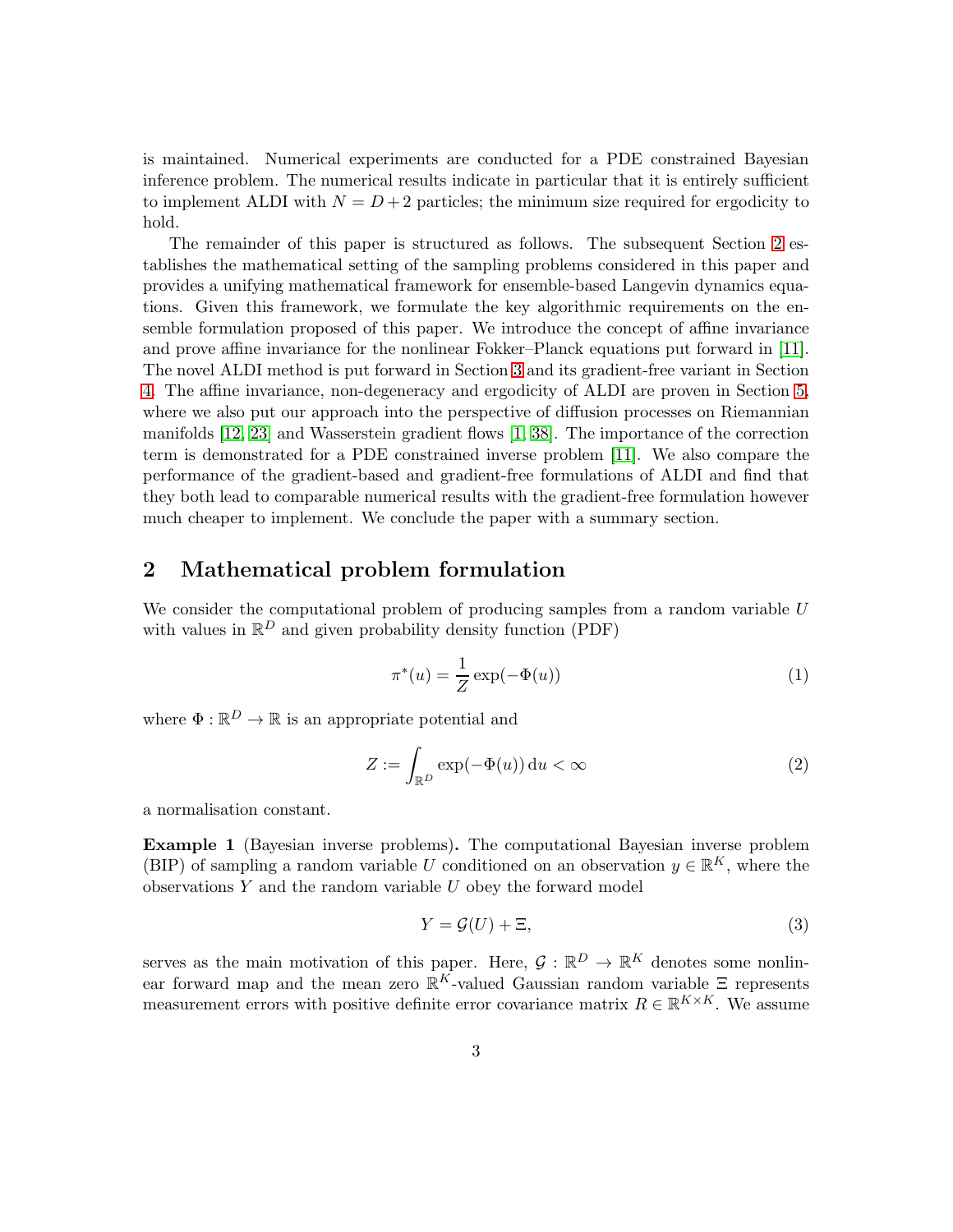is maintained. Numerical experiments are conducted for a PDE constrained Bayesian inference problem. The numerical results indicate in particular that it is entirely sufficient to implement ALDI with  $N = D + 2$  particles; the minimum size required for ergodicity to hold.

The remainder of this paper is structured as follows. The subsequent Section [2](#page-2-0) establishes the mathematical setting of the sampling problems considered in this paper and provides a unifying mathematical framework for ensemble-based Langevin dynamics equations. Given this framework, we formulate the key algorithmic requirements on the ensemble formulation proposed of this paper. We introduce the concept of affine invariance and prove affine invariance for the nonlinear Fokker–Planck equations put forward in [\[11\]](#page-26-5). The novel ALDI method is put forward in Section [3](#page-6-0) and its gradient-free variant in Section [4.](#page-9-0) The affine invariance, non-degeneracy and ergodicity of ALDI are proven in Section [5,](#page-10-0) where we also put our approach into the perspective of diffusion processes on Riemannian manifolds [\[12,](#page-26-1) [23\]](#page-27-5) and Wasserstein gradient flows [\[1,](#page-25-0) [38\]](#page-28-0). The importance of the correction term is demonstrated for a PDE constrained inverse problem [\[11\]](#page-26-5). We also compare the performance of the gradient-based and gradient-free formulations of ALDI and find that they both lead to comparable numerical results with the gradient-free formulation however much cheaper to implement. We conclude the paper with a summary section.

## <span id="page-2-0"></span>2 Mathematical problem formulation

We consider the computational problem of producing samples from a random variable U with values in  $\mathbb{R}^D$  and given probability density function (PDF)

$$
\pi^*(u) = \frac{1}{Z} \exp(-\Phi(u))\tag{1}
$$

where  $\Phi : \mathbb{R}^D \to \mathbb{R}$  is an appropriate potential and

$$
Z := \int_{\mathbb{R}^D} \exp(-\Phi(u)) \, \mathrm{d}u < \infty \tag{2}
$$

a normalisation constant.

<span id="page-2-1"></span>Example 1 (Bayesian inverse problems). The computational Bayesian inverse problem (BIP) of sampling a random variable U conditioned on an observation  $y \in \mathbb{R}^K$ , where the observations  $Y$  and the random variable  $U$  obey the forward model

<span id="page-2-2"></span>
$$
Y = \mathcal{G}(U) + \Xi,\tag{3}
$$

serves as the main motivation of this paper. Here,  $\mathcal{G}: \mathbb{R}^D \to \mathbb{R}^K$  denotes some nonlinear forward map and the mean zero  $\mathbb{R}^K$ -valued Gaussian random variable  $\Xi$  represents measurement errors with positive definite error covariance matrix  $R \in \mathbb{R}^{K \times K}$ . We assume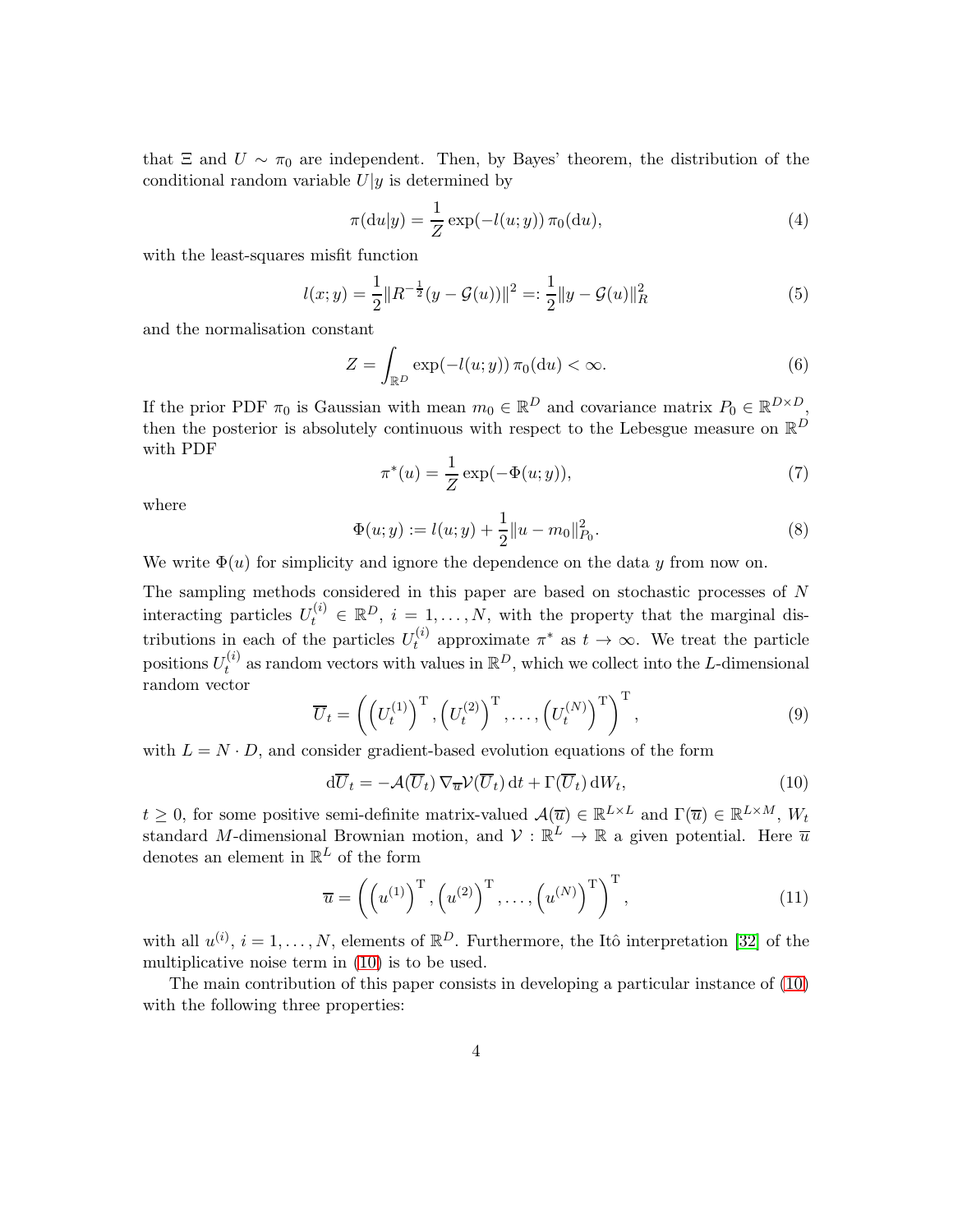that  $\Xi$  and  $U \sim \pi_0$  are independent. Then, by Bayes' theorem, the distribution of the conditional random variable  $U|y$  is determined by

$$
\pi(\mathrm{d}u|y) = \frac{1}{Z} \exp(-l(u; y)) \pi_0(\mathrm{d}u),\tag{4}
$$

with the least-squares misfit function

$$
l(x; y) = \frac{1}{2} ||R^{-\frac{1}{2}}(y - \mathcal{G}(u))||^2 =: \frac{1}{2} ||y - \mathcal{G}(u)||_R^2
$$
\n(5)

and the normalisation constant

$$
Z = \int_{\mathbb{R}^D} \exp(-l(u; y)) \,\pi_0(\mathrm{d}u) < \infty. \tag{6}
$$

If the prior PDF  $\pi_0$  is Gaussian with mean  $m_0 \in \mathbb{R}^D$  and covariance matrix  $P_0 \in \mathbb{R}^{D \times D}$ , then the posterior is absolutely continuous with respect to the Lebesgue measure on  $\mathbb{R}^D$ with PDF

$$
\pi^*(u) = \frac{1}{Z} \exp(-\Phi(u; y)),
$$
\n(7)

where

<span id="page-3-1"></span>
$$
\Phi(u; y) := l(u; y) + \frac{1}{2} ||u - m_0||_{P_0}^2.
$$
\n(8)

We write  $\Phi(u)$  for simplicity and ignore the dependence on the data y from now on.

The sampling methods considered in this paper are based on stochastic processes of N interacting particles  $U_t^{(i)} \in \mathbb{R}^D$ ,  $i = 1, \ldots, N$ , with the property that the marginal distributions in each of the particles  $U_t^{(i)}$  $t_t^{(i)}$  approximate  $\pi^*$  as  $t \to \infty$ . We treat the particle positions  $U_t^{(i)}$  $t_t^{(i)}$  as random vectors with values in  $\mathbb{R}^D$ , which we collect into the L-dimensional random vector

$$
\overline{U}_t = \left( \left( U_t^{(1)} \right)^{\mathrm{T}}, \left( U_t^{(2)} \right)^{\mathrm{T}}, \dots, \left( U_t^{(N)} \right)^{\mathrm{T}} \right)^{\mathrm{T}},\tag{9}
$$

with  $L = N \cdot D$ , and consider gradient-based evolution equations of the form

<span id="page-3-0"></span>
$$
d\overline{U}_t = -\mathcal{A}(\overline{U}_t) \nabla_{\overline{u}} \mathcal{V}(\overline{U}_t) dt + \Gamma(\overline{U}_t) dW_t,
$$
\n(10)

 $t \geq 0$ , for some positive semi-definite matrix-valued  $\mathcal{A}(\overline{u}) \in \mathbb{R}^{L \times L}$  and  $\Gamma(\overline{u}) \in \mathbb{R}^{L \times M}$ ,  $W_t$ standard M-dimensional Brownian motion, and  $V : \mathbb{R}^L \to \mathbb{R}$  a given potential. Here  $\overline{u}$ denotes an element in  $\mathbb{R}^L$  of the form

$$
\overline{u} = \left( \left( u^{(1)} \right)^{\mathrm{T}}, \left( u^{(2)} \right)^{\mathrm{T}}, \dots, \left( u^{(N)} \right)^{\mathrm{T}} \right)^{\mathrm{T}}, \tag{11}
$$

with all  $u^{(i)}$ ,  $i = 1, ..., N$ , elements of  $\mathbb{R}^D$ . Furthermore, the Itô interpretation [\[32\]](#page-27-0) of the multiplicative noise term in [\(10\)](#page-3-0) is to be used.

The main contribution of this paper consists in developing a particular instance of [\(10\)](#page-3-0) with the following three properties: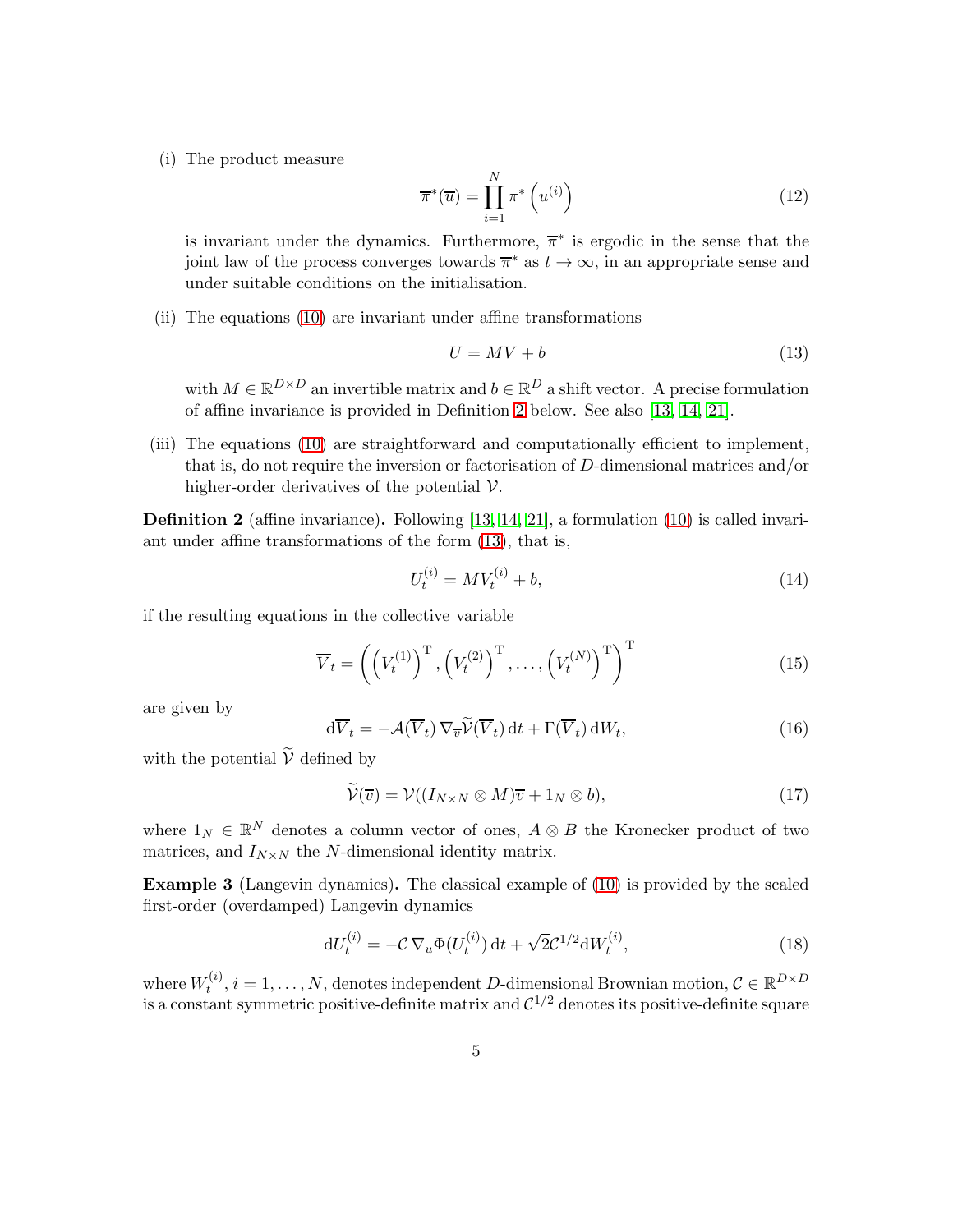(i) The product measure

<span id="page-4-3"></span>
$$
\overline{\pi}^*(\overline{u}) = \prod_{i=1}^N \pi^*\left(u^{(i)}\right)
$$
\n(12)

is invariant under the dynamics. Furthermore,  $\bar{\pi}^*$  is ergodic in the sense that the joint law of the process converges towards  $\overline{\pi}^*$  as  $t \to \infty$ , in an appropriate sense and under suitable conditions on the initialisation.

(ii) The equations [\(10\)](#page-3-0) are invariant under affine transformations

<span id="page-4-1"></span>
$$
U = MV + b \tag{13}
$$

with  $M \in \mathbb{R}^{D \times D}$  an invertible matrix and  $b \in \mathbb{R}^{D}$  a shift vector. A precise formulation of affine invariance is provided in Definition [2](#page-4-0) below. See also [\[13,](#page-26-0) [14,](#page-26-2) [21\]](#page-26-3).

(iii) The equations [\(10\)](#page-3-0) are straightforward and computationally efficient to implement, that is, do not require the inversion or factorisation of D-dimensional matrices and/or higher-order derivatives of the potential  $\mathcal V$ .

<span id="page-4-0"></span>Definition 2 (affine invariance). Following [\[13,](#page-26-0) [14,](#page-26-2) [21\]](#page-26-3), a formulation [\(10\)](#page-3-0) is called invariant under affine transformations of the form [\(13\)](#page-4-1), that is,

$$
U_t^{(i)} = MV_t^{(i)} + b,\t\t(14)
$$

if the resulting equations in the collective variable

$$
\overline{V}_t = \left( \left( V_t^{(1)} \right)^{\mathrm{T}}, \left( V_t^{(2)} \right)^{\mathrm{T}}, \dots, \left( V_t^{(N)} \right)^{\mathrm{T}} \right)^{\mathrm{T}} \tag{15}
$$

are given by

$$
\mathrm{d}\overline{V}_t = -\mathcal{A}(\overline{V}_t) \,\nabla_{\overline{v}} \widetilde{\mathcal{V}}(\overline{V}_t) \,\mathrm{d}t + \Gamma(\overline{V}_t) \,\mathrm{d}W_t,\tag{16}
$$

with the potential  $\widetilde{\mathcal{V}}$  defined by

$$
\widetilde{\mathcal{V}}(\overline{v}) = \mathcal{V}((I_{N \times N} \otimes M)\overline{v} + 1_N \otimes b), \tag{17}
$$

where  $1_N \in \mathbb{R}^N$  denotes a column vector of ones,  $A \otimes B$  the Kronecker product of two matrices, and  $I_{N\times N}$  the N-dimensional identity matrix.

Example 3 (Langevin dynamics). The classical example of [\(10\)](#page-3-0) is provided by the scaled first-order (overdamped) Langevin dynamics

<span id="page-4-2"></span>
$$
dU_t^{(i)} = -\mathcal{C}\,\nabla_u \Phi(U_t^{(i)})\,dt + \sqrt{2}\mathcal{C}^{1/2} dW_t^{(i)},\tag{18}
$$

where  $W_t^{(i)}$  $t^{(i)}$ ,  $i = 1, \ldots, N$ , denotes independent D-dimensional Brownian motion,  $C \in \mathbb{R}^{D \times D}$ is a constant symmetric positive-definite matrix and  $\mathcal{C}^{1/2}$  denotes its positive-definite square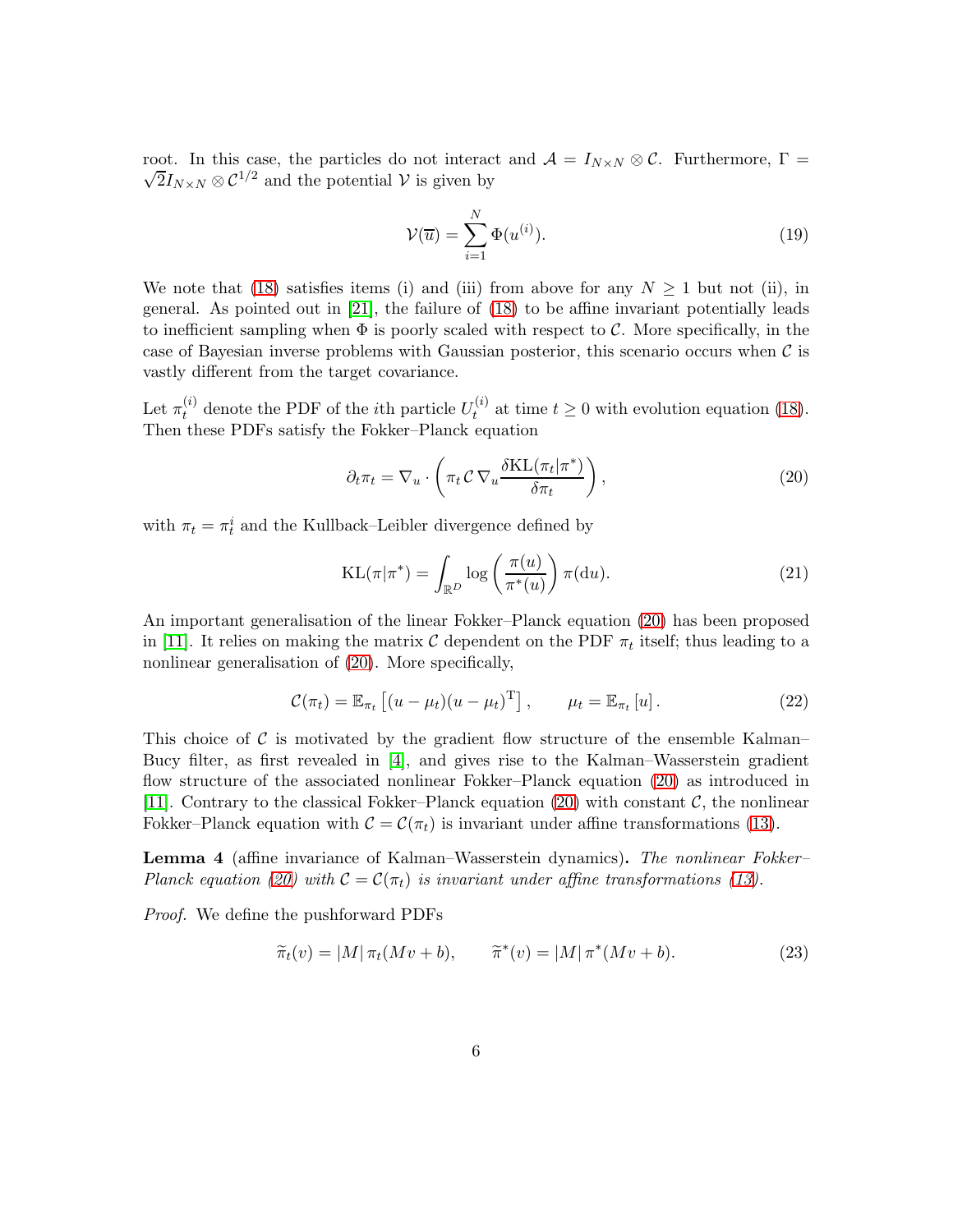root. In this case, the particles do not interact and  $\mathcal{A} = I_{N \times N} \otimes \mathcal{C}$ . Furthermore,  $\Gamma =$  $\sqrt{2}I_{N\times N}\otimes C^{1/2}$  and the potential V is given by

$$
\mathcal{V}(\overline{u}) = \sum_{i=1}^{N} \Phi(u^{(i)}).
$$
\n(19)

We note that [\(18\)](#page-4-2) satisfies items (i) and (iii) from above for any  $N \geq 1$  but not (ii), in general. As pointed out in [\[21\]](#page-26-3), the failure of [\(18\)](#page-4-2) to be affine invariant potentially leads to inefficient sampling when  $\Phi$  is poorly scaled with respect to C. More specifically, in the case of Bayesian inverse problems with Gaussian posterior, this scenario occurs when  $\mathcal C$  is vastly different from the target covariance.

Let  $\pi_t^{(i)}$  denote the PDF of the *i*<sup>th</sup> particle  $U_t^{(i)}$  $t_t^{(i)}$  at time  $t \geq 0$  with evolution equation [\(18\)](#page-4-2). Then these PDFs satisfy the Fokker–Planck equation

<span id="page-5-0"></span>
$$
\partial_t \pi_t = \nabla_u \cdot \left( \pi_t C \nabla_u \frac{\delta \text{KL}(\pi_t | \pi^*)}{\delta \pi_t} \right),\tag{20}
$$

with  $\pi_t = \pi_t^i$  and the Kullback–Leibler divergence defined by

$$
KL(\pi|\pi^*) = \int_{\mathbb{R}^D} \log\left(\frac{\pi(u)}{\pi^*(u)}\right) \pi(\mathrm{d}u). \tag{21}
$$

An important generalisation of the linear Fokker–Planck equation [\(20\)](#page-5-0) has been proposed in [\[11\]](#page-26-5). It relies on making the matrix  $\mathcal C$  dependent on the PDF  $\pi_t$  itself; thus leading to a nonlinear generalisation of [\(20\)](#page-5-0). More specifically,

<span id="page-5-1"></span>
$$
\mathcal{C}(\pi_t) = \mathbb{E}_{\pi_t} \left[ (u - \mu_t)(u - \mu_t)^{\mathrm{T}} \right], \qquad \mu_t = \mathbb{E}_{\pi_t} \left[ u \right]. \tag{22}
$$

This choice of  $\mathcal C$  is motivated by the gradient flow structure of the ensemble Kalman– Bucy filter, as first revealed in [\[4\]](#page-25-1), and gives rise to the Kalman–Wasserstein gradient flow structure of the associated nonlinear Fokker–Planck equation [\(20\)](#page-5-0) as introduced in [\[11\]](#page-26-5). Contrary to the classical Fokker–Planck equation [\(20\)](#page-5-0) with constant  $\mathcal{C}$ , the nonlinear Fokker–Planck equation with  $C = C(\pi_t)$  is invariant under affine transformations [\(13\)](#page-4-1).

<span id="page-5-2"></span>Lemma 4 (affine invariance of Kalman–Wasserstein dynamics). The nonlinear Fokker– Planck equation [\(20\)](#page-5-0) with  $C = C(\pi_t)$  is invariant under affine transformations [\(13\)](#page-4-1).

Proof. We define the pushforward PDFs

$$
\widetilde{\pi}_t(v) = |M| \pi_t(Mv + b), \qquad \widetilde{\pi}^*(v) = |M| \pi^*(Mv + b).
$$
\n(23)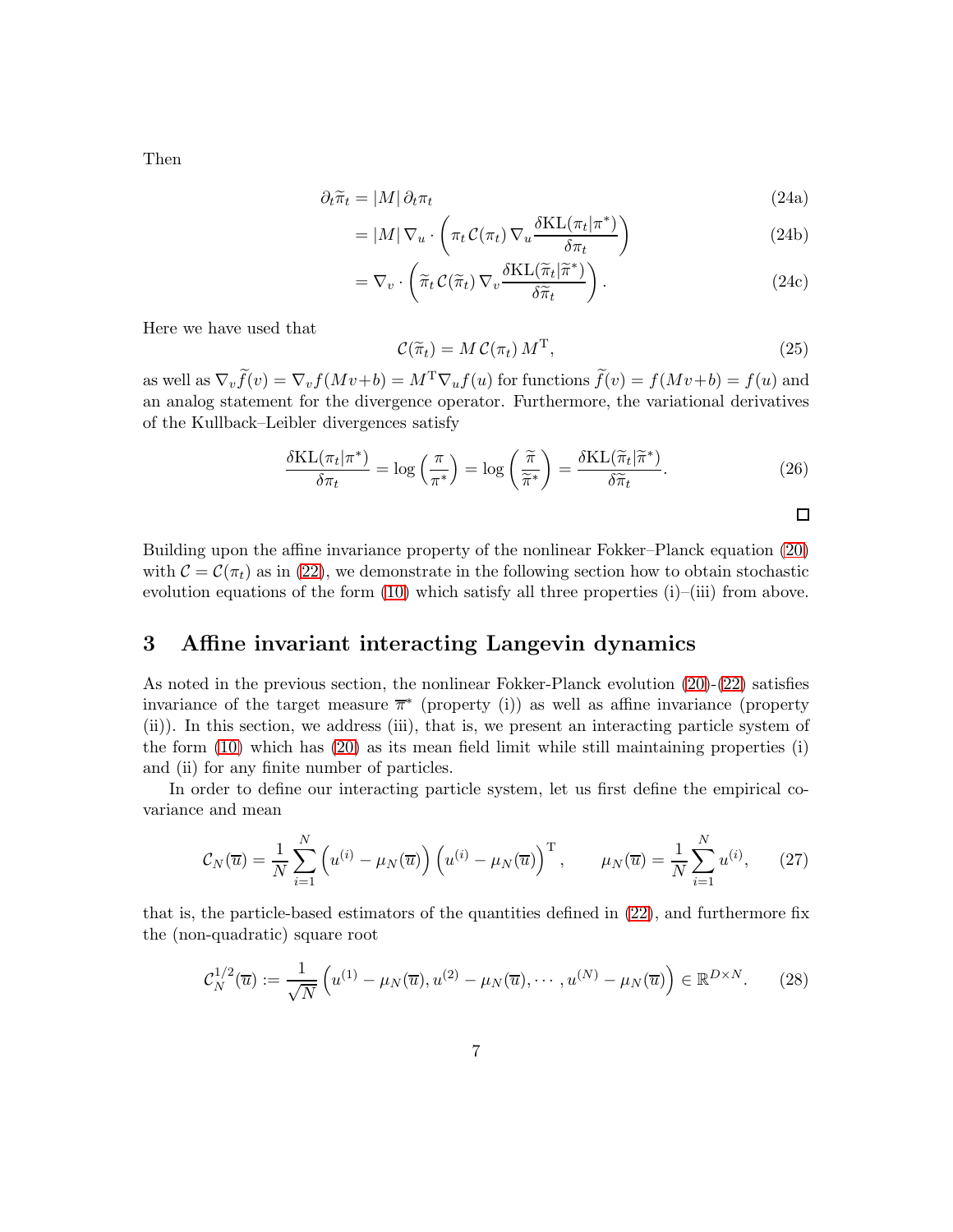$$
\partial_t \tilde{\pi}_t = |M| \partial_t \pi_t \tag{24a}
$$

$$
= |M| \nabla_u \cdot \left( \pi_t C(\pi_t) \nabla_u \frac{\delta \text{KL}(\pi_t | \pi^*)}{\delta \pi_t} \right) \tag{24b}
$$

$$
= \nabla_v \cdot \left( \tilde{\pi}_t C(\tilde{\pi}_t) \nabla_v \frac{\delta \text{KL}(\tilde{\pi}_t | \tilde{\pi}^*)}{\delta \tilde{\pi}_t} \right). \tag{24c}
$$

Here we have used that

$$
\mathcal{C}(\widetilde{\pi}_t) = M \mathcal{C}(\pi_t) M^{\mathrm{T}}, \qquad (25)
$$

as well as  $\nabla_v \widetilde{f}(v) = \nabla_v f(Mv+b) = M^{\mathrm{T}} \nabla_u f(u)$  for functions  $\widetilde{f}(v) = f(Mv+b) = f(u)$  and an analog statement for the divergence operator. Furthermore, the variational derivatives of the Kullback–Leibler divergences satisfy

<span id="page-6-2"></span>
$$
\frac{\delta \text{KL}(\pi_t | \pi^*)}{\delta \pi_t} = \log \left( \frac{\pi}{\pi^*} \right) = \log \left( \frac{\widetilde{\pi}}{\widetilde{\pi}^*} \right) = \frac{\delta \text{KL}(\widetilde{\pi}_t | \widetilde{\pi}^*)}{\delta \widetilde{\pi}_t}.
$$
\n(26)

$$
\sqcap
$$

Building upon the affine invariance property of the nonlinear Fokker–Planck equation [\(20\)](#page-5-0) with  $C = C(\pi_t)$  as in [\(22\)](#page-5-1), we demonstrate in the following section how to obtain stochastic evolution equations of the form  $(10)$  which satisfy all three properties  $(i)$ – $(iii)$  from above.

# <span id="page-6-0"></span>3 Affine invariant interacting Langevin dynamics

As noted in the previous section, the nonlinear Fokker-Planck evolution [\(20\)](#page-5-0)-[\(22\)](#page-5-1) satisfies invariance of the target measure  $\bar{\pi}^*$  (property (i)) as well as affine invariance (property (ii)). In this section, we address (iii), that is, we present an interacting particle system of the form [\(10\)](#page-3-0) which has [\(20\)](#page-5-0) as its mean field limit while still maintaining properties (i) and (ii) for any finite number of particles.

In order to define our interacting particle system, let us first define the empirical covariance and mean

$$
C_N(\overline{u}) = \frac{1}{N} \sum_{i=1}^N \left( u^{(i)} - \mu_N(\overline{u}) \right) \left( u^{(i)} - \mu_N(\overline{u}) \right)^{\mathrm{T}}, \qquad \mu_N(\overline{u}) = \frac{1}{N} \sum_{i=1}^N u^{(i)}, \qquad (27)
$$

that is, the particle-based estimators of the quantities defined in [\(22\)](#page-5-1), and furthermore fix the (non-quadratic) square root

<span id="page-6-1"></span>
$$
\mathcal{C}_N^{1/2}(\overline{u}) := \frac{1}{\sqrt{N}} \left( u^{(1)} - \mu_N(\overline{u}), u^{(2)} - \mu_N(\overline{u}), \cdots, u^{(N)} - \mu_N(\overline{u}) \right) \in \mathbb{R}^{D \times N}.
$$
 (28)

Then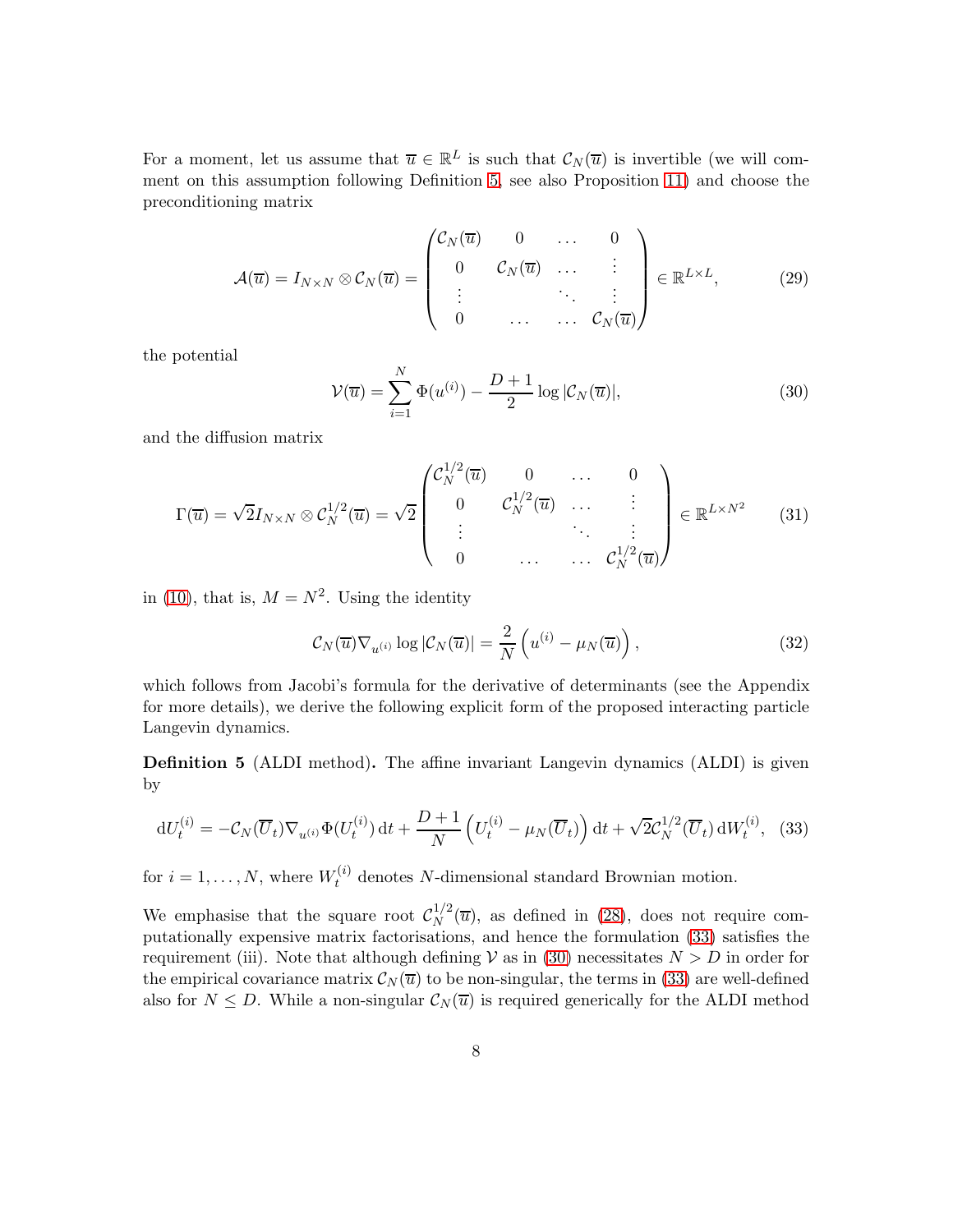For a moment, let us assume that  $\overline{u} \in \mathbb{R}^L$  is such that  $\mathcal{C}_N(\overline{u})$  is invertible (we will comment on this assumption following Definition [5,](#page-7-0) see also Proposition [11\)](#page-11-0) and choose the preconditioning matrix

<span id="page-7-4"></span>
$$
\mathcal{A}(\overline{u}) = I_{N \times N} \otimes \mathcal{C}_N(\overline{u}) = \begin{pmatrix} \mathcal{C}_N(\overline{u}) & 0 & \dots & 0 \\ 0 & \mathcal{C}_N(\overline{u}) & \dots & \vdots \\ \vdots & \ddots & \vdots \\ 0 & \dots & \dots & \mathcal{C}_N(\overline{u}) \end{pmatrix} \in \mathbb{R}^{L \times L},
$$
 (29)

the potential

<span id="page-7-2"></span>
$$
\mathcal{V}(\overline{u}) = \sum_{i=1}^{N} \Phi(u^{(i)}) - \frac{D+1}{2} \log |\mathcal{C}_N(\overline{u})|, \tag{30}
$$

and the diffusion matrix

$$
\Gamma(\overline{u}) = \sqrt{2}I_{N\times N} \otimes \mathcal{C}_N^{1/2}(\overline{u}) = \sqrt{2} \begin{pmatrix} \mathcal{C}_N^{1/2}(\overline{u}) & 0 & \cdots & 0 \\ 0 & \mathcal{C}_N^{1/2}(\overline{u}) & \cdots & \vdots \\ \vdots & \ddots & \vdots & \vdots \\ 0 & \cdots & \cdots & \mathcal{C}_N^{1/2}(\overline{u}) \end{pmatrix} \in \mathbb{R}^{L\times N^2}
$$
(31)

in [\(10\)](#page-3-0), that is,  $M = N^2$ . Using the identity

<span id="page-7-3"></span>
$$
\mathcal{C}_N(\overline{u}) \nabla_{u^{(i)}} \log |\mathcal{C}_N(\overline{u})| = \frac{2}{N} \left( u^{(i)} - \mu_N(\overline{u}) \right), \tag{32}
$$

which follows from Jacobi's formula for the derivative of determinants (see the Appendix for more details), we derive the following explicit form of the proposed interacting particle Langevin dynamics.

<span id="page-7-0"></span>Definition 5 (ALDI method). The affine invariant Langevin dynamics (ALDI) is given by

<span id="page-7-1"></span>
$$
\mathrm{d}U_t^{(i)} = -\mathcal{C}_N(\overline{U}_t)\nabla_{u^{(i)}}\Phi(U_t^{(i)})\,\mathrm{d}t + \frac{D+1}{N}\left(U_t^{(i)} - \mu_N(\overline{U}_t)\right)\mathrm{d}t + \sqrt{2}\mathcal{C}_N^{1/2}(\overline{U}_t)\,\mathrm{d}W_t^{(i)},\tag{33}
$$

for  $i = 1, ..., N$ , where  $W_t^{(i)}$  denotes N-dimensional standard Brownian motion.

We emphasise that the square root  $\mathcal{C}_N^{1/2}$  $N^{1/2}(\overline{u})$ , as defined in [\(28\)](#page-6-1), does not require computationally expensive matrix factorisations, and hence the formulation [\(33\)](#page-7-1) satisfies the requirement (iii). Note that although defining  $V$  as in [\(30\)](#page-7-2) necessitates  $N > D$  in order for the empirical covariance matrix  $\mathcal{C}_N(\overline{u})$  to be non-singular, the terms in [\(33\)](#page-7-1) are well-defined also for  $N \leq D$ . While a non-singular  $\mathcal{C}_N(\overline{u})$  is required generically for the ALDI method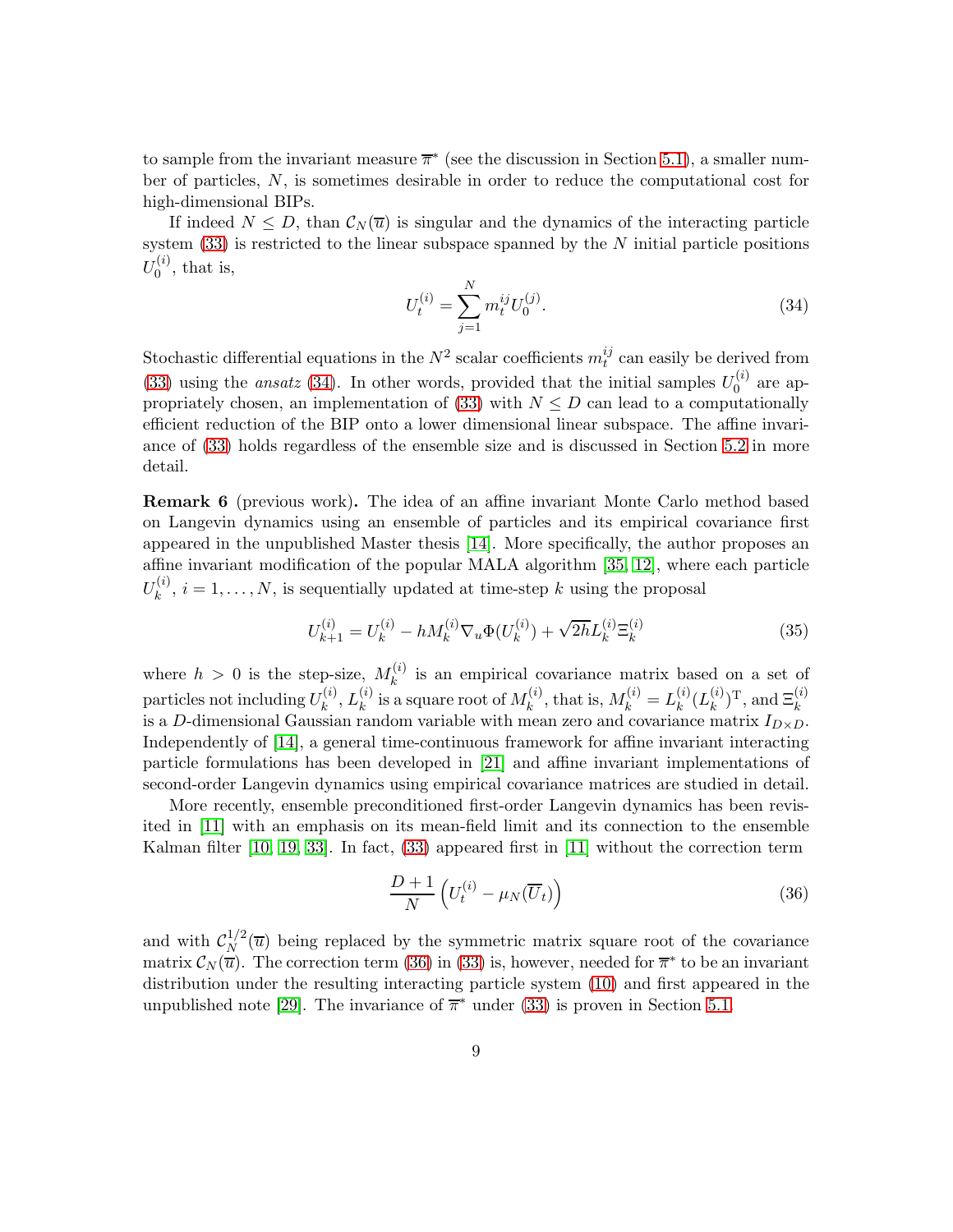to sample from the invariant measure  $\overline{\pi}^*$  (see the discussion in Section [5.1\)](#page-10-1), a smaller number of particles, N, is sometimes desirable in order to reduce the computational cost for high-dimensional BIPs.

If indeed  $N \leq D$ , than  $\mathcal{C}_N(\overline{u})$  is singular and the dynamics of the interacting particle system  $(33)$  is restricted to the linear subspace spanned by the N initial particle positions  $U_0^{(i)}$  $\mathbf{r}_0^{(i)}$ , that is,

<span id="page-8-1"></span>
$$
U_t^{(i)} = \sum_{j=1}^N m_t^{ij} U_0^{(j)}.
$$
\n(34)

Stochastic differential equations in the  $N^2$  scalar coefficients  $m_t^{ij}$  $t_i^{ij}$  can easily be derived from [\(33\)](#page-7-1) using the *ansatz* [\(34\)](#page-8-1). In other words, provided that the initial samples  $U_0^{(i)}$  $0^{(i)}$  are ap-propriately chosen, an implementation of [\(33\)](#page-7-1) with  $N \leq D$  can lead to a computationally efficient reduction of the BIP onto a lower dimensional linear subspace. The affine invariance of [\(33\)](#page-7-1) holds regardless of the ensemble size and is discussed in Section [5.2](#page-12-0) in more detail.

<span id="page-8-0"></span>Remark 6 (previous work). The idea of an affine invariant Monte Carlo method based on Langevin dynamics using an ensemble of particles and its empirical covariance first appeared in the unpublished Master thesis [\[14\]](#page-26-2). More specifically, the author proposes an affine invariant modification of the popular MALA algorithm [\[35,](#page-27-2) [12\]](#page-26-1), where each particle  $U_k^{(i)}$  $k_k^{(i)}$ ,  $i = 1, \ldots, N$ , is sequentially updated at time-step k using the proposal

$$
U_{k+1}^{(i)} = U_k^{(i)} - h M_k^{(i)} \nabla_u \Phi(U_k^{(i)}) + \sqrt{2h} L_k^{(i)} \Xi_k^{(i)}
$$
(35)

where  $h > 0$  is the step-size,  $M_k^{(i)}$  $\kappa_k^{(i)}$  is an empirical covariance matrix based on a set of particles not including  $U_k^{(i)}$  $_k^{(i)},L_k^{(i)}$  $\mathop{ k}\limits^{(i)}$  is a square root of  $M_k^{(i)}$  $k^{(i)}$ , that is,  $M_k^{(i)} = L_k^{(i)}$  $_k^{(i)}(L_k^{(i)}$  $_{k}^{(i)}$ )<sup>T</sup>, and  $\Xi_{k}^{(i)}$ is a D-dimensional Gaussian random variable with mean zero and covariance matrix  $I_{D\times D}$ . Independently of [\[14\]](#page-26-2), a general time-continuous framework for affine invariant interacting particle formulations has been developed in [\[21\]](#page-26-3) and affine invariant implementations of second-order Langevin dynamics using empirical covariance matrices are studied in detail.

More recently, ensemble preconditioned first-order Langevin dynamics has been revisited in [\[11\]](#page-26-5) with an emphasis on its mean-field limit and its connection to the ensemble Kalman filter [\[10,](#page-26-6) [19,](#page-26-4) [33\]](#page-27-3). In fact, [\(33\)](#page-7-1) appeared first in [\[11\]](#page-26-5) without the correction term

<span id="page-8-2"></span>
$$
\frac{D+1}{N} \left( U_t^{(i)} - \mu_N(\overline{U}_t) \right) \tag{36}
$$

and with  $\mathcal{C}_N^{1/2}$  $N^{1/2}(\overline{u})$  being replaced by the symmetric matrix square root of the covariance matrix  $\mathcal{C}_N(\overline{u})$ . The correction term [\(36\)](#page-8-2) in [\(33\)](#page-7-1) is, however, needed for  $\overline{\pi}^*$  to be an invariant distribution under the resulting interacting particle system [\(10\)](#page-3-0) and first appeared in the unpublished note [\[29\]](#page-27-4). The invariance of  $\overline{\pi}^*$  under [\(33\)](#page-7-1) is proven in Section [5.1.](#page-10-1)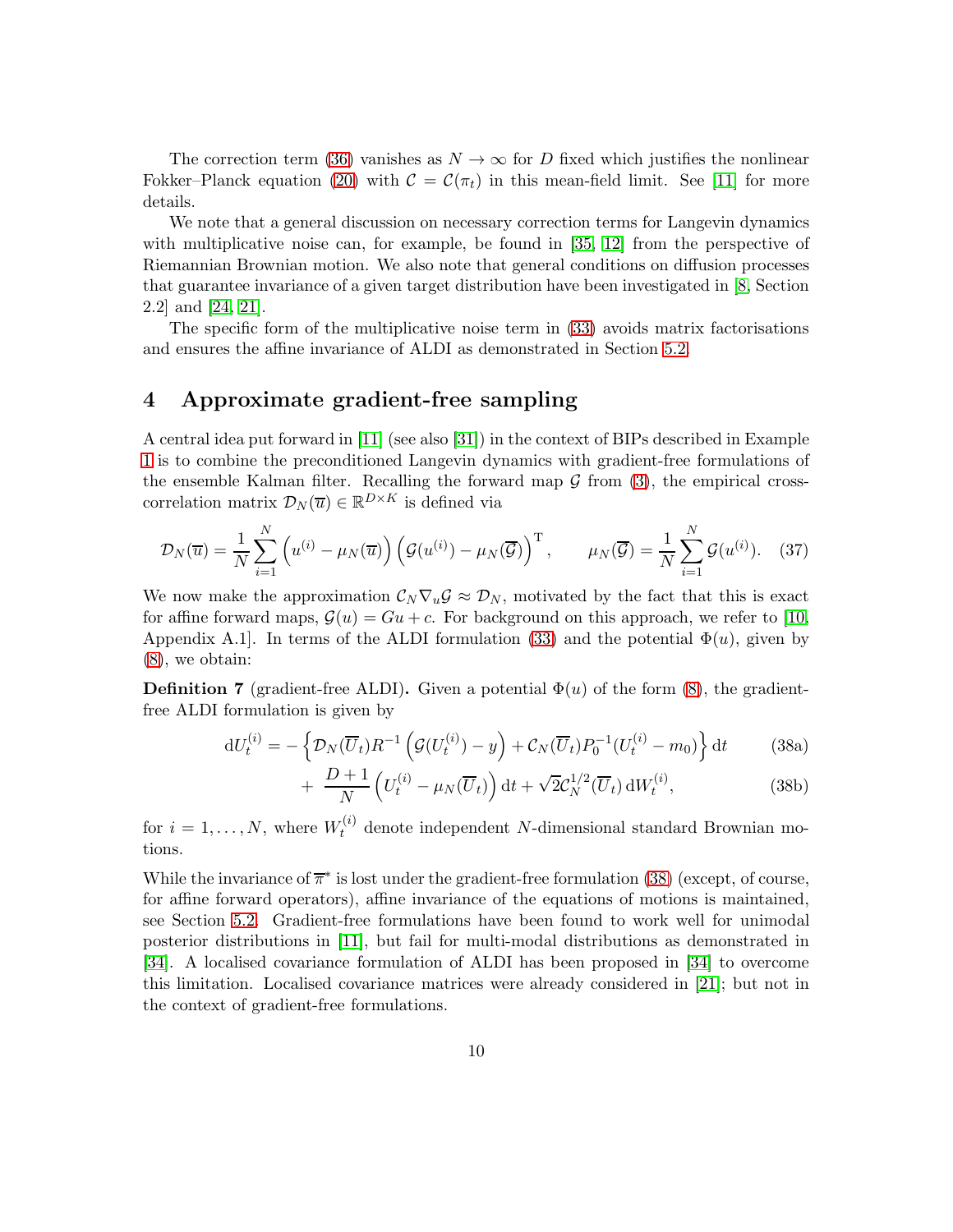The correction term [\(36\)](#page-8-2) vanishes as  $N \to \infty$  for D fixed which justifies the nonlinear Fokker–Planck equation [\(20\)](#page-5-0) with  $\mathcal{C} = \mathcal{C}(\pi_t)$  in this mean-field limit. See [\[11\]](#page-26-5) for more details.

We note that a general discussion on necessary correction terms for Langevin dynamics with multiplicative noise can, for example, be found in [\[35,](#page-27-2) [12\]](#page-26-1) from the perspective of Riemannian Brownian motion. We also note that general conditions on diffusion processes that guarantee invariance of a given target distribution have been investigated in [\[8,](#page-26-7) Section 2.2] and [\[24,](#page-27-6) [21\]](#page-26-3).

The specific form of the multiplicative noise term in [\(33\)](#page-7-1) avoids matrix factorisations and ensures the affine invariance of ALDI as demonstrated in Section [5.2.](#page-12-0)

### <span id="page-9-0"></span>4 Approximate gradient-free sampling

A central idea put forward in [\[11\]](#page-26-5) (see also [\[31\]](#page-27-7)) in the context of BIPs described in Example [1](#page-2-1) is to combine the preconditioned Langevin dynamics with gradient-free formulations of the ensemble Kalman filter. Recalling the forward map  $\mathcal G$  from [\(3\)](#page-2-2), the empirical crosscorrelation matrix  $\mathcal{D}_N(\overline{u}) \in \mathbb{R}^{D \times K}$  is defined via

$$
\mathcal{D}_N(\overline{u}) = \frac{1}{N} \sum_{i=1}^N \left( u^{(i)} - \mu_N(\overline{u}) \right) \left( \mathcal{G}(u^{(i)}) - \mu_N(\overline{\mathcal{G}}) \right)^{\mathrm{T}}, \qquad \mu_N(\overline{\mathcal{G}}) = \frac{1}{N} \sum_{i=1}^N \mathcal{G}(u^{(i)}). \tag{37}
$$

We now make the approximation  $C_N \nabla_u \mathcal{G} \approx \mathcal{D}_N$ , motivated by the fact that this is exact for affine forward maps,  $\mathcal{G}(u) = Gu + c$ . For background on this approach, we refer to [\[10,](#page-26-6) Appendix A.1. In terms of the ALDI formulation [\(33\)](#page-7-1) and the potential  $\Phi(u)$ , given by [\(8\)](#page-3-1), we obtain:

**Definition 7** (gradient-free ALDI). Given a potential  $\Phi(u)$  of the form [\(8\)](#page-3-1), the gradientfree ALDI formulation is given by

$$
dU_t^{(i)} = -\left\{ \mathcal{D}_N(\overline{U}_t) R^{-1} \left( \mathcal{G}(U_t^{(i)}) - y \right) + \mathcal{C}_N(\overline{U}_t) P_0^{-1} (U_t^{(i)} - m_0) \right\} dt \tag{38a}
$$

<span id="page-9-1"></span>
$$
+\frac{D+1}{N}\left(U_t^{(i)}-\mu_N(\overline{U}_t)\right)dt+\sqrt{2}\mathcal{C}_N^{1/2}(\overline{U}_t)\,dW_t^{(i)},\tag{38b}
$$

for  $i = 1, ..., N$ , where  $W_t^{(i)}$  denote independent N-dimensional standard Brownian motions.

While the invariance of  $\overline{\pi}^*$  is lost under the gradient-free formulation [\(38\)](#page-9-1) (except, of course, for affine forward operators), affine invariance of the equations of motions is maintained, see Section [5.2.](#page-12-0) Gradient-free formulations have been found to work well for unimodal posterior distributions in [\[11\]](#page-26-5), but fail for multi-modal distributions as demonstrated in [\[34\]](#page-27-8). A localised covariance formulation of ALDI has been proposed in [\[34\]](#page-27-8) to overcome this limitation. Localised covariance matrices were already considered in [\[21\]](#page-26-3); but not in the context of gradient-free formulations.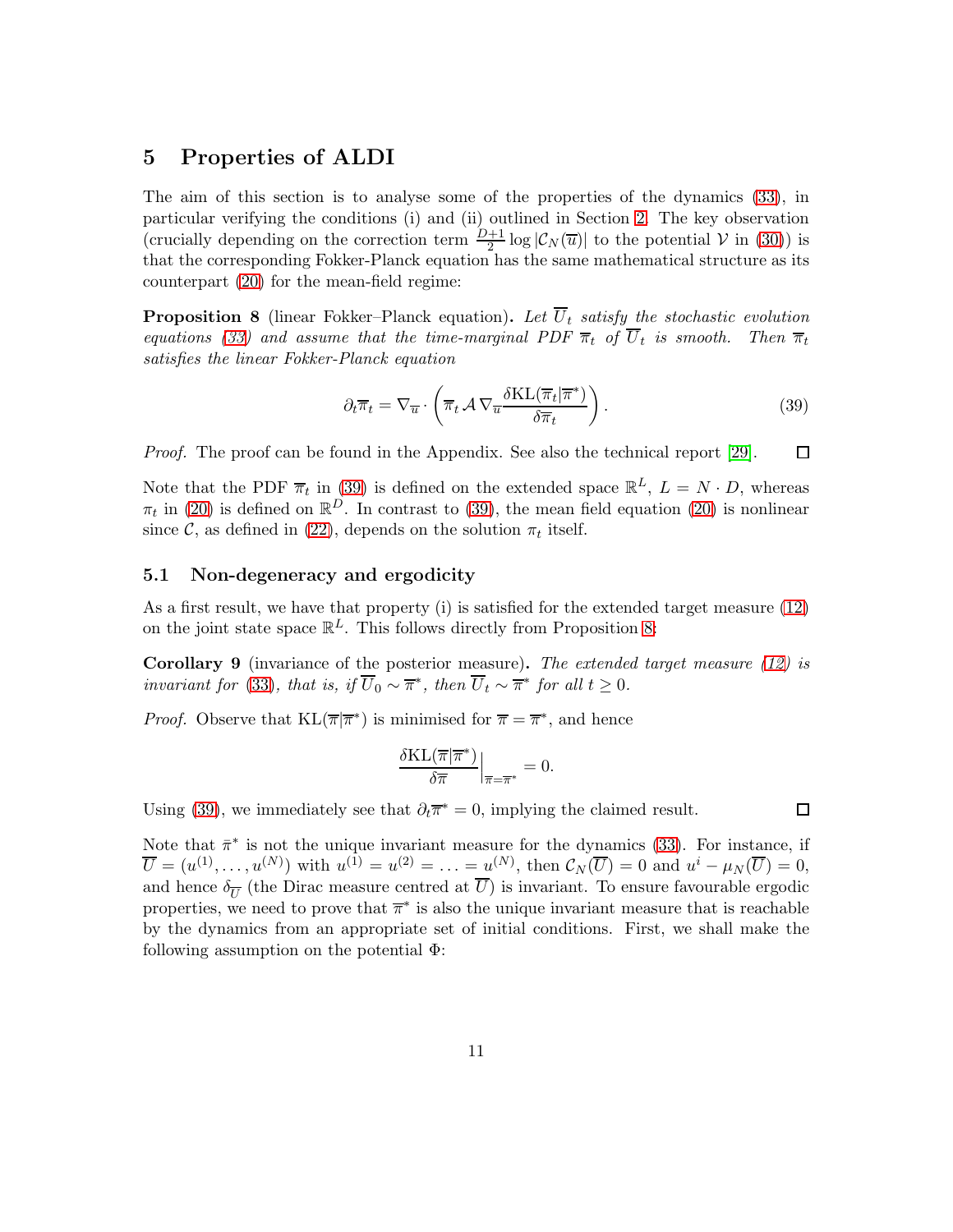# <span id="page-10-0"></span>5 Properties of ALDI

The aim of this section is to analyse some of the properties of the dynamics [\(33\)](#page-7-1), in particular verifying the conditions (i) and (ii) outlined in Section [2.](#page-2-0) The key observation (crucially depending on the correction term  $\frac{D+1}{2} \log |\mathcal{C}_N(\overline{u})|$  to the potential  $\mathcal V$  in [\(30\)](#page-7-2)) is that the corresponding Fokker-Planck equation has the same mathematical structure as its counterpart [\(20\)](#page-5-0) for the mean-field regime:

<span id="page-10-3"></span>**Proposition 8** (linear Fokker–Planck equation). Let  $\overline{U}_t$  satisfy the stochastic evolution equations [\(33\)](#page-7-1) and assume that the time-marginal PDF  $\overline{\pi}_t$  of  $U_t$  is smooth. Then  $\overline{\pi}_t$ satisfies the linear Fokker-Planck equation

<span id="page-10-2"></span>
$$
\partial_t \overline{\pi}_t = \nabla_{\overline{u}} \cdot \left( \overline{\pi}_t \mathcal{A} \nabla_{\overline{u}} \frac{\delta \text{KL}(\overline{\pi}_t | \overline{\pi}^*)}{\delta \overline{\pi}_t} \right). \tag{39}
$$

Proof. The proof can be found in the Appendix. See also the technical report [\[29\]](#page-27-4).  $\Box$ 

Note that the PDF  $\overline{\pi}_t$  in [\(39\)](#page-10-2) is defined on the extended space  $\mathbb{R}^L$ ,  $L = N \cdot D$ , whereas  $\pi_t$  in [\(20\)](#page-5-0) is defined on  $\mathbb{R}^D$ . In contrast to [\(39\)](#page-10-2), the mean field equation (20) is nonlinear since  $\mathcal{C}$ , as defined in [\(22\)](#page-5-1), depends on the solution  $\pi_t$  itself.

#### <span id="page-10-1"></span>5.1 Non-degeneracy and ergodicity

As a first result, we have that property (i) is satisfied for the extended target measure [\(12\)](#page-4-3) on the joint state space  $\mathbb{R}^L$ . This follows directly from Proposition [8:](#page-10-3)

<span id="page-10-4"></span>**Corollary 9** (invariance of the posterior measure). The extended target measure  $(12)$  is invariant for [\(33\)](#page-7-1), that is, if  $\overline{U}_0 \sim \overline{\pi}^*$ , then  $\overline{U}_t \sim \overline{\pi}^*$  for all  $t \geq 0$ .

*Proof.* Observe that  $KL(\overline{\pi}|\overline{\pi}^*)$  is minimised for  $\overline{\pi} = \overline{\pi}^*$ , and hence

$$
\frac{\delta \text{KL}(\overline{\pi}|\overline{\pi}^*)}{\delta \overline{\pi}}\Big|_{\overline{\pi}=\overline{\pi}^*} = 0.
$$

Using [\(39\)](#page-10-2), we immediately see that  $\partial_t \overline{\pi}^* = 0$ , implying the claimed result.

□

Note that  $\bar{\pi}^*$  is not the unique invariant measure for the dynamics [\(33\)](#page-7-1). For instance, if  $\overline{U} = (u^{(1)}, \ldots, u^{(N)})$  with  $u^{(1)} = u^{(2)} = \ldots = u^{(N)}$ , then  $\mathcal{C}_N(\overline{U}) = 0$  and  $u^i - \mu_N(\overline{U}) = 0$ , and hence  $\delta_{\overline{U}}$  (the Dirac measure centred at  $U$ ) is invariant. To ensure favourable ergodic properties, we need to prove that  $\overline{\pi}^*$  is also the unique invariant measure that is reachable by the dynamics from an appropriate set of initial conditions. First, we shall make the following assumption on the potential  $\Phi$ :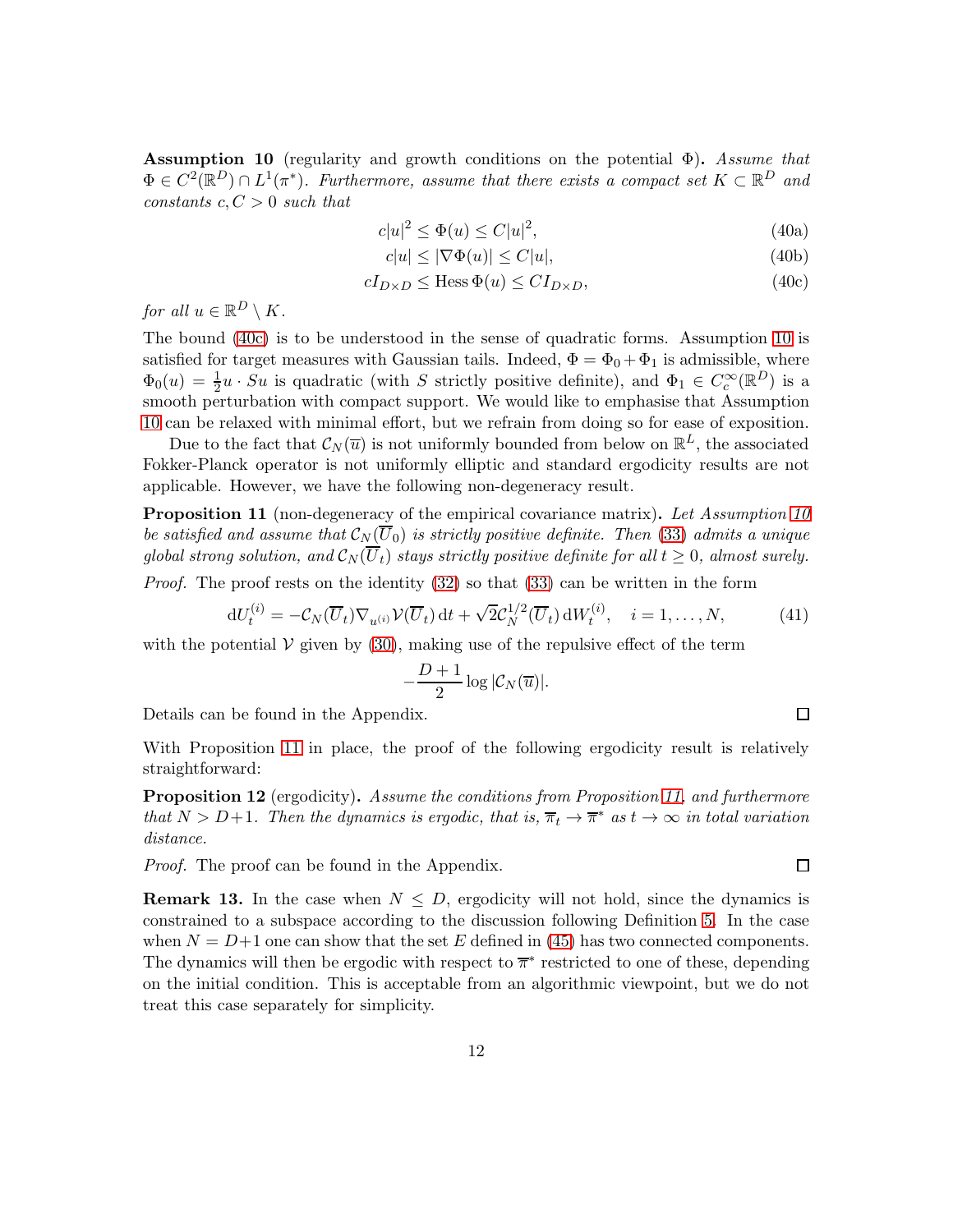<span id="page-11-2"></span>Assumption 10 (regularity and growth conditions on the potential  $\Phi$ ). Assume that  $\Phi \in C^2(\mathbb{R}^D) \cap L^1(\pi^*)$ . Furthermore, assume that there exists a compact set  $K \subset \mathbb{R}^D$  and constants  $c, C > 0$  such that

<span id="page-11-1"></span>
$$
c|u|^2 \le \Phi(u) \le C|u|^2,\tag{40a}
$$

$$
c|u| \le |\nabla \Phi(u)| \le C|u|,\tag{40b}
$$

$$
cI_{D\times D} \le \text{Hess}\,\Phi(u) \le CI_{D\times D},\tag{40c}
$$

for all  $u \in \mathbb{R}^D \setminus K$ .

The bound [\(40c\)](#page-11-1) is to be understood in the sense of quadratic forms. Assumption [10](#page-11-2) is satisfied for target measures with Gaussian tails. Indeed,  $\Phi = \Phi_0 + \Phi_1$  is admissible, where  $\Phi_0(u) = \frac{1}{2}u \cdot Su$  is quadratic (with S strictly positive definite), and  $\Phi_1 \in C_c^{\infty}(\mathbb{R}^D)$  is a smooth perturbation with compact support. We would like to emphasise that Assumption [10](#page-11-2) can be relaxed with minimal effort, but we refrain from doing so for ease of exposition.

Due to the fact that  $\mathcal{C}_N(\overline{u})$  is not uniformly bounded from below on  $\mathbb{R}^L$ , the associated Fokker-Planck operator is not uniformly elliptic and standard ergodicity results are not applicable. However, we have the following non-degeneracy result.

<span id="page-11-0"></span>**Proposition 11** (non-degeneracy of the empirical covariance matrix). Let Assumption [10](#page-11-2) be satisfied and assume that  $\mathcal{C}_N(\overline{U}_0)$  is strictly positive definite. Then [\(33\)](#page-7-1) admits a unique global strong solution, and  $\mathcal{C}_N(\overline{U}_t)$  stays strictly positive definite for all  $t \geq 0$ , almost surely.

*Proof.* The proof rests on the identity  $(32)$  so that  $(33)$  can be written in the form

$$
dU_t^{(i)} = -\mathcal{C}_N(\overline{U}_t)\nabla_{u^{(i)}}\mathcal{V}(\overline{U}_t) dt + \sqrt{2}\mathcal{C}_N^{1/2}(\overline{U}_t) dW_t^{(i)}, \quad i = 1, \dots, N,
$$
 (41)

with the potential  $V$  given by [\(30\)](#page-7-2), making use of the repulsive effect of the term

$$
-\frac{D+1}{2}\log |\mathcal{C}_N(\overline{u})|.
$$

Details can be found in the Appendix.

With Proposition [11](#page-11-0) in place, the proof of the following ergodicity result is relatively straightforward:

<span id="page-11-3"></span>**Proposition 12** (ergodicity). Assume the conditions from Proposition [11,](#page-11-0) and furthermore that  $N > D+1$ . Then the dynamics is ergodic, that is,  $\overline{\pi}_t \to \overline{\pi}^*$  as  $t \to \infty$  in total variation distance.

Proof. The proof can be found in the Appendix.

**Remark 13.** In the case when  $N \leq D$ , ergodicity will not hold, since the dynamics is constrained to a subspace according to the discussion following Definition [5.](#page-7-0) In the case when  $N = D+1$  one can show that the set E defined in [\(45\)](#page-12-1) has two connected components. The dynamics will then be ergodic with respect to  $\overline{\pi}^*$  restricted to one of these, depending on the initial condition. This is acceptable from an algorithmic viewpoint, but we do not treat this case separately for simplicity.

 $\Box$ 

 $\Box$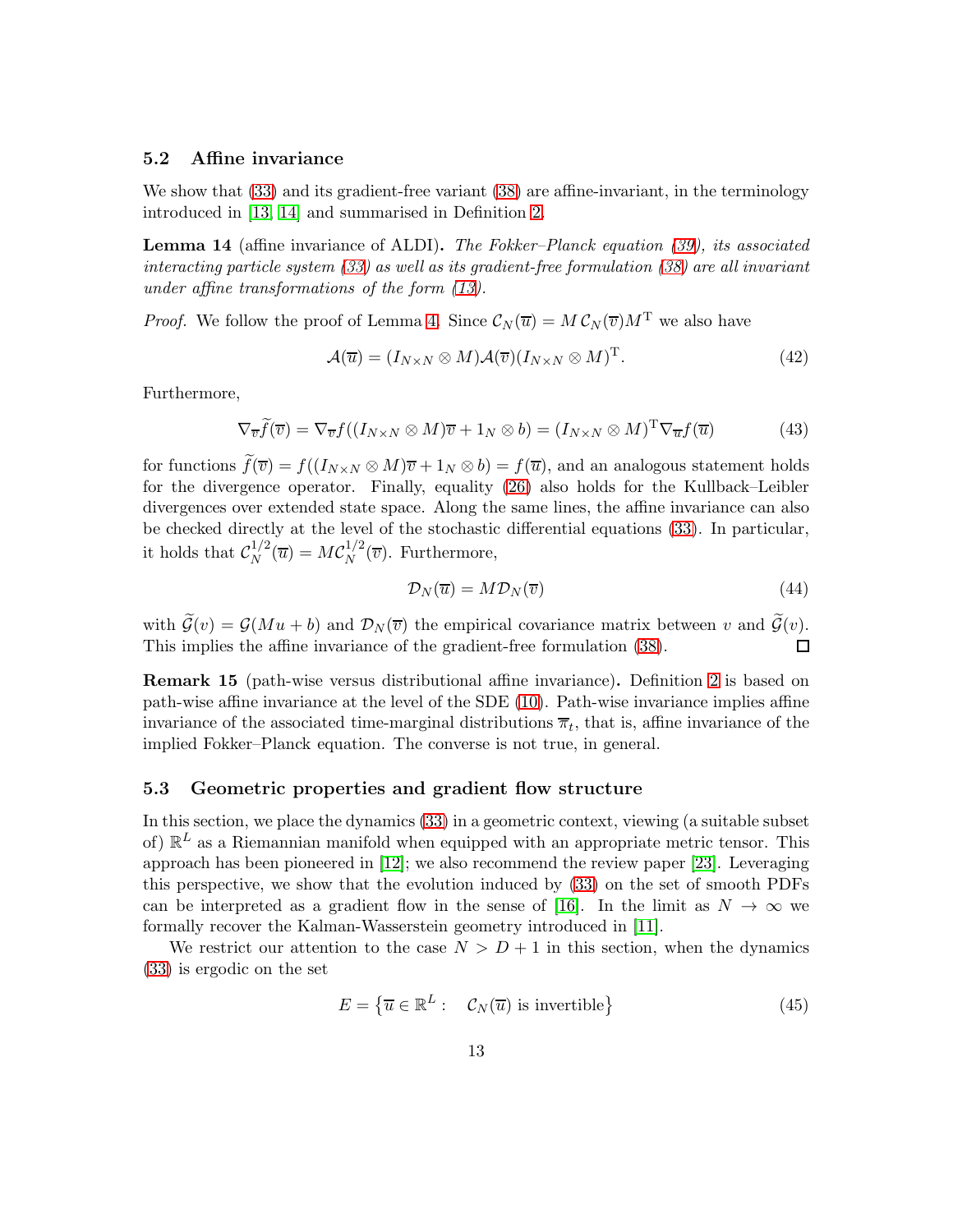#### <span id="page-12-0"></span>5.2 Affine invariance

We show that  $(33)$  and its gradient-free variant  $(38)$  are affine-invariant, in the terminology introduced in [\[13,](#page-26-0) [14\]](#page-26-2) and summarised in Definition [2.](#page-4-0)

**Lemma 14** (affine invariance of ALDI). The Fokker–Planck equation [\(39\)](#page-10-2), its associated interacting particle system [\(33\)](#page-7-1) as well as its gradient-free formulation [\(38\)](#page-9-1) are all invariant under affine transformations of the form [\(13\)](#page-4-1).

*Proof.* We follow the proof of Lemma [4.](#page-5-2) Since  $\mathcal{C}_N(\overline{u}) = M \mathcal{C}_N(\overline{v}) M^T$  we also have

$$
\mathcal{A}(\overline{u}) = (I_{N \times N} \otimes M)\mathcal{A}(\overline{v})(I_{N \times N} \otimes M)^{\mathrm{T}}.
$$
\n(42)

Furthermore,

$$
\nabla_{\overline{v}} \widetilde{f}(\overline{v}) = \nabla_{\overline{v}} f((I_{N \times N} \otimes M)\overline{v} + 1_N \otimes b) = (I_{N \times N} \otimes M)^{\mathrm{T}} \nabla_{\overline{u}} f(\overline{u})
$$
(43)

for functions  $\widetilde{f}(\overline{v}) = f((I_{N\times N}\otimes M)\overline{v} + 1_N\otimes b) = f(\overline{u})$ , and an analogous statement holds for the divergence operator. Finally, equality [\(26\)](#page-6-2) also holds for the Kullback–Leibler divergences over extended state space. Along the same lines, the affine invariance can also be checked directly at the level of the stochastic differential equations [\(33\)](#page-7-1). In particular, it holds that  $\mathcal{C}_N^{1/2}$  $\chi^{1/2}_N(\overline{u}) = M C_N^{1/2}$  $N^{1/2}(\overline{v})$ . Furthermore,

$$
\mathcal{D}_N(\overline{u}) = M \mathcal{D}_N(\overline{v}) \tag{44}
$$

with  $\tilde{\mathcal{G}}(v) = \mathcal{G}(Mu + b)$  and  $\mathcal{D}_N(\overline{v})$  the empirical covariance matrix between v and  $\tilde{\mathcal{G}}(v)$ .<br>This implies the affine invariance of the gradient-free formulation (38). This implies the affine invariance of the gradient-free formulation [\(38\)](#page-9-1).

Remark 15 (path-wise versus distributional affine invariance). Definition [2](#page-4-0) is based on path-wise affine invariance at the level of the SDE [\(10\)](#page-3-0). Path-wise invariance implies affine invariance of the associated time-marginal distributions  $\overline{\pi}_t$ , that is, affine invariance of the implied Fokker–Planck equation. The converse is not true, in general.

#### 5.3 Geometric properties and gradient flow structure

In this section, we place the dynamics [\(33\)](#page-7-1) in a geometric context, viewing (a suitable subset of)  $\mathbb{R}^L$  as a Riemannian manifold when equipped with an appropriate metric tensor. This approach has been pioneered in [\[12\]](#page-26-1); we also recommend the review paper [\[23\]](#page-27-5). Leveraging this perspective, we show that the evolution induced by [\(33\)](#page-7-1) on the set of smooth PDFs can be interpreted as a gradient flow in the sense of [\[16\]](#page-26-8). In the limit as  $N \to \infty$  we formally recover the Kalman-Wasserstein geometry introduced in [\[11\]](#page-26-5).

We restrict our attention to the case  $N > D + 1$  in this section, when the dynamics [\(33\)](#page-7-1) is ergodic on the set

<span id="page-12-1"></span>
$$
E = \left\{ \overline{u} \in \mathbb{R}^L : \mathcal{C}_N(\overline{u}) \text{ is invertible} \right\}
$$
 (45)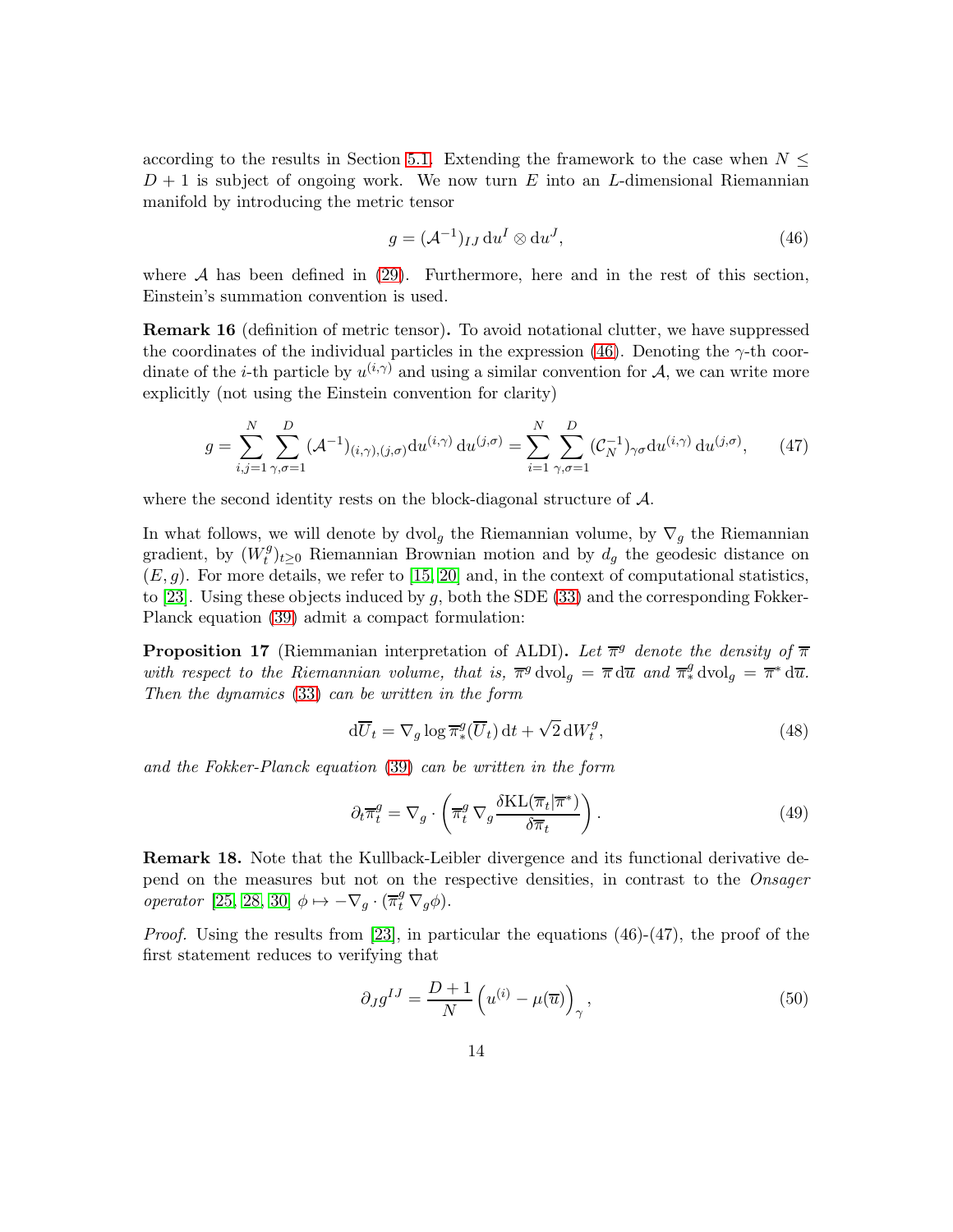according to the results in Section [5.1.](#page-10-1) Extending the framework to the case when  $N \leq$  $D+1$  is subject of ongoing work. We now turn E into an L-dimensional Riemannian manifold by introducing the metric tensor

<span id="page-13-0"></span>
$$
g = (\mathcal{A}^{-1})_{IJ} \, \mathrm{d}u^I \otimes \mathrm{d}u^J,\tag{46}
$$

where  $A$  has been defined in [\(29\)](#page-7-4). Furthermore, here and in the rest of this section, Einstein's summation convention is used.

<span id="page-13-1"></span>Remark 16 (definition of metric tensor). To avoid notational clutter, we have suppressed the coordinates of the individual particles in the expression [\(46\)](#page-13-0). Denoting the  $\gamma$ -th coordinate of the *i*-th particle by  $u^{(i,\gamma)}$  and using a similar convention for A, we can write more explicitly (not using the Einstein convention for clarity)

$$
g = \sum_{i,j=1}^{N} \sum_{\gamma,\sigma=1}^{D} (\mathcal{A}^{-1})_{(i,\gamma),(j,\sigma)} du^{(i,\gamma)} du^{(j,\sigma)} = \sum_{i=1}^{N} \sum_{\gamma,\sigma=1}^{D} (\mathcal{C}_{N}^{-1})_{\gamma\sigma} du^{(i,\gamma)} du^{(j,\sigma)}, \qquad (47)
$$

where the second identity rests on the block-diagonal structure of  $\mathcal{A}$ .

In what follows, we will denote by dvol<sub>g</sub> the Riemannian volume, by  $\nabla_g$  the Riemannian gradient, by  $(W_t^g)$  $t^{g}(t)_{t\geq0}$  Riemannian Brownian motion and by  $d_g$  the geodesic distance on  $(E, g)$ . For more details, we refer to [\[15,](#page-26-9) [20\]](#page-26-10) and, in the context of computational statistics, to [\[23\]](#page-27-5). Using these objects induced by  $g$ , both the SDE [\(33\)](#page-7-1) and the corresponding Fokker-Planck equation [\(39\)](#page-10-2) admit a compact formulation:

**Proposition 17** (Riemmanian interpretation of ALDI). Let  $\overline{\pi}^g$  denote the density of  $\overline{\pi}$ with respect to the Riemannian volume, that is,  $\overline{\pi}^g$  dvol<sub>g</sub> =  $\overline{\pi}$  d $\overline{u}$  and  $\overline{\pi}_*^g$  dvol<sub>g</sub> =  $\overline{\pi}^*$  d $\overline{u}$ . Then the dynamics [\(33\)](#page-7-1) can be written in the form

$$
d\overline{U}_t = \nabla_g \log \overline{\pi}_*^g(\overline{U}_t) dt + \sqrt{2} dW_t^g,
$$
\n(48)

and the Fokker-Planck equation [\(39\)](#page-10-2) can be written in the form

<span id="page-13-2"></span>
$$
\partial_t \overline{\pi}_t^g = \nabla_g \cdot \left( \overline{\pi}_t^g \nabla_g \frac{\delta \text{KL}(\overline{\pi}_t | \overline{\pi}^*)}{\delta \overline{\pi}_t} \right). \tag{49}
$$

Remark 18. Note that the Kullback-Leibler divergence and its functional derivative depend on the measures but not on the respective densities, in contrast to the Onsager operator [\[25,](#page-27-9) [28,](#page-27-10) [30\]](#page-27-11)  $\phi \mapsto -\nabla_g \cdot (\overline{\pi}_t^g \nabla_g \phi)$ .

*Proof.* Using the results from [\[23\]](#page-27-5), in particular the equations  $(46)-(47)$ , the proof of the first statement reduces to verifying that

$$
\partial_J g^{IJ} = \frac{D+1}{N} \left( u^{(i)} - \mu(\overline{u}) \right)_{\gamma}, \tag{50}
$$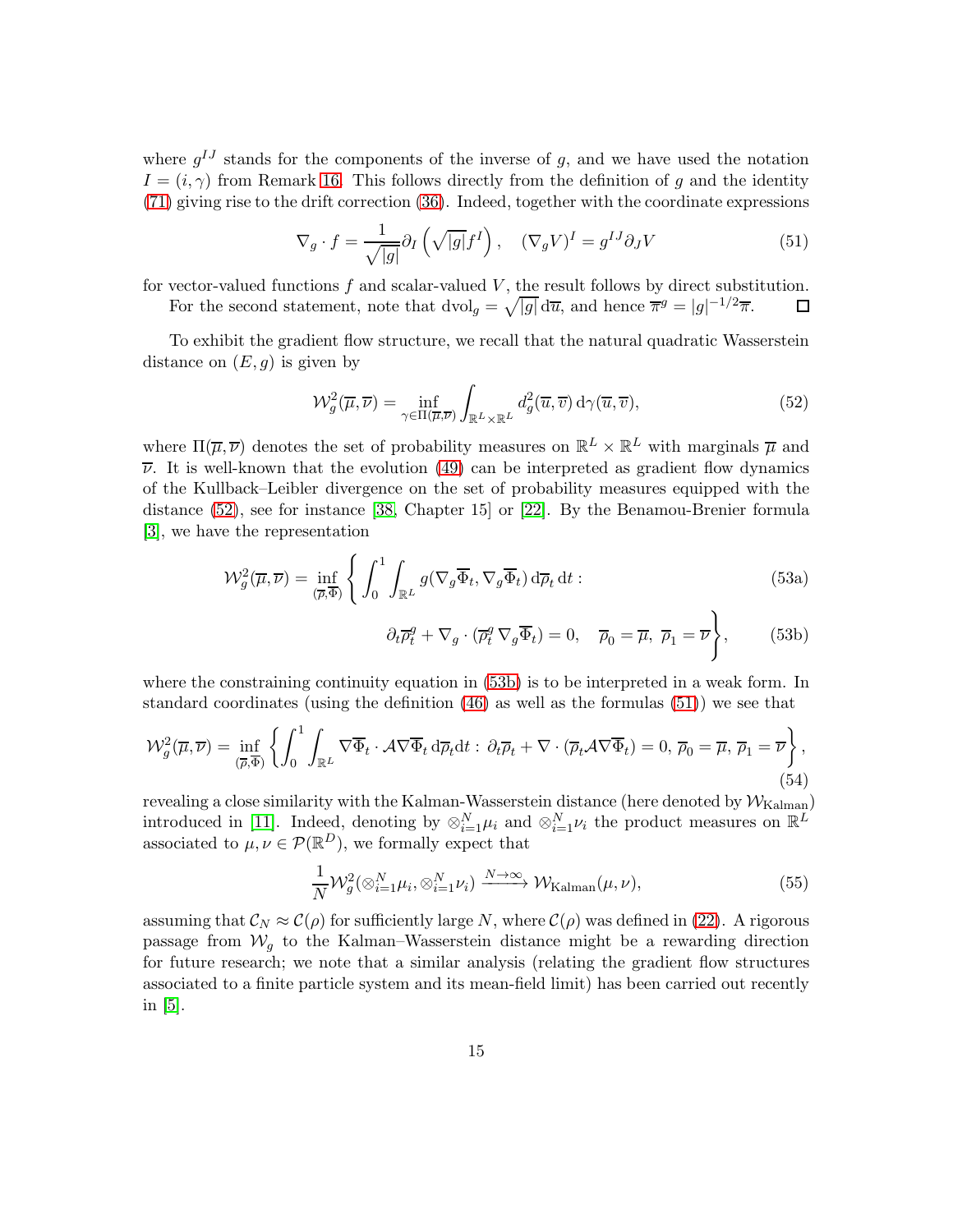where  $g^{IJ}$  stands for the components of the inverse of g, and we have used the notation  $I = (i, \gamma)$  from Remark [16.](#page-13-1) This follows directly from the definition of g and the identity [\(71\)](#page-21-0) giving rise to the drift correction [\(36\)](#page-8-2). Indeed, together with the coordinate expressions

<span id="page-14-2"></span>
$$
\nabla_g \cdot f = \frac{1}{\sqrt{|g|}} \partial_I \left( \sqrt{|g|} f^I \right), \quad (\nabla_g V)^I = g^{IJ} \partial_J V \tag{51}
$$

for vector-valued functions  $f$  and scalar-valued  $V$ , the result follows by direct substitution. For the second statement, note that  $dvol_g = \sqrt{|g|} d\overline{u}$ , and hence  $\overline{\pi}^g = |g|^{-1/2} \overline{\pi}$ . 口

To exhibit the gradient flow structure, we recall that the natural quadratic Wasserstein distance on  $(E, g)$  is given by

<span id="page-14-0"></span>
$$
\mathcal{W}_g^2(\overline{\mu}, \overline{\nu}) = \inf_{\gamma \in \Pi(\overline{\mu}, \overline{\nu})} \int_{\mathbb{R}^L \times \mathbb{R}^L} d_g^2(\overline{u}, \overline{v}) d\gamma(\overline{u}, \overline{v}), \tag{52}
$$

where  $\Pi(\overline{\mu}, \overline{\nu})$  denotes the set of probability measures on  $\mathbb{R}^L \times \mathbb{R}^L$  with marginals  $\overline{\mu}$  and  $\overline{\nu}$ . It is well-known that the evolution [\(49\)](#page-13-2) can be interpreted as gradient flow dynamics of the Kullback–Leibler divergence on the set of probability measures equipped with the distance [\(52\)](#page-14-0), see for instance [\[38,](#page-28-0) Chapter 15] or [\[22\]](#page-26-11). By the Benamou-Brenier formula [\[3\]](#page-25-2), we have the representation

$$
\mathcal{W}_g^2(\overline{\mu}, \overline{\nu}) = \inf_{(\overline{\rho}, \overline{\Phi})} \left\{ \int_0^1 \int_{\mathbb{R}^L} g(\nabla_g \overline{\Phi}_t, \nabla_g \overline{\Phi}_t) d\overline{\rho}_t dt : \right\}
$$
(53a)

<span id="page-14-1"></span>
$$
\partial_t \overline{\rho}_t^g + \nabla_g \cdot (\overline{\rho}_t^g \nabla_g \overline{\Phi}_t) = 0, \quad \overline{\rho}_0 = \overline{\mu}, \ \overline{\rho}_1 = \overline{\nu} \bigg\}, \tag{53b}
$$

where the constraining continuity equation in [\(53b\)](#page-14-1) is to be interpreted in a weak form. In standard coordinates (using the definition [\(46\)](#page-13-0) as well as the formulas [\(51\)](#page-14-2)) we see that

$$
\mathcal{W}_g^2(\overline{\mu}, \overline{\nu}) = \inf_{(\overline{\rho}, \overline{\Phi})} \left\{ \int_0^1 \int_{\mathbb{R}^L} \nabla \overline{\Phi}_t \cdot \mathcal{A} \nabla \overline{\Phi}_t \, d\overline{\rho}_t dt : \, \partial_t \overline{\rho}_t + \nabla \cdot (\overline{\rho}_t \mathcal{A} \nabla \overline{\Phi}_t) = 0, \, \overline{\rho}_0 = \overline{\mu}, \, \overline{\rho}_1 = \overline{\nu} \right\},\tag{54}
$$

revealing a close similarity with the Kalman-Wasserstein distance (here denoted by  $W_{\text{Kalman}}$ ) introduced in [\[11\]](#page-26-5). Indeed, denoting by  $\otimes_{i=1}^N \mu_i$  and  $\otimes_{i=1}^N \nu_i$  the product measures on  $\mathbb{R}^L$ associated to  $\mu, \nu \in \mathcal{P}(\mathbb{R}^D)$ , we formally expect that

$$
\frac{1}{N} \mathcal{W}_g^2(\otimes_{i=1}^N \mu_i, \otimes_{i=1}^N \nu_i) \xrightarrow{N \to \infty} \mathcal{W}_{\text{Kalman}}(\mu, \nu), \tag{55}
$$

assuming that  $\mathcal{C}_N \approx \mathcal{C}(\rho)$  for sufficiently large N, where  $\mathcal{C}(\rho)$  was defined in [\(22\)](#page-5-1). A rigorous passage from  $\mathcal{W}_q$  to the Kalman–Wasserstein distance might be a rewarding direction for future research; we note that a similar analysis (relating the gradient flow structures associated to a finite particle system and its mean-field limit) has been carried out recently in  $|5|$ .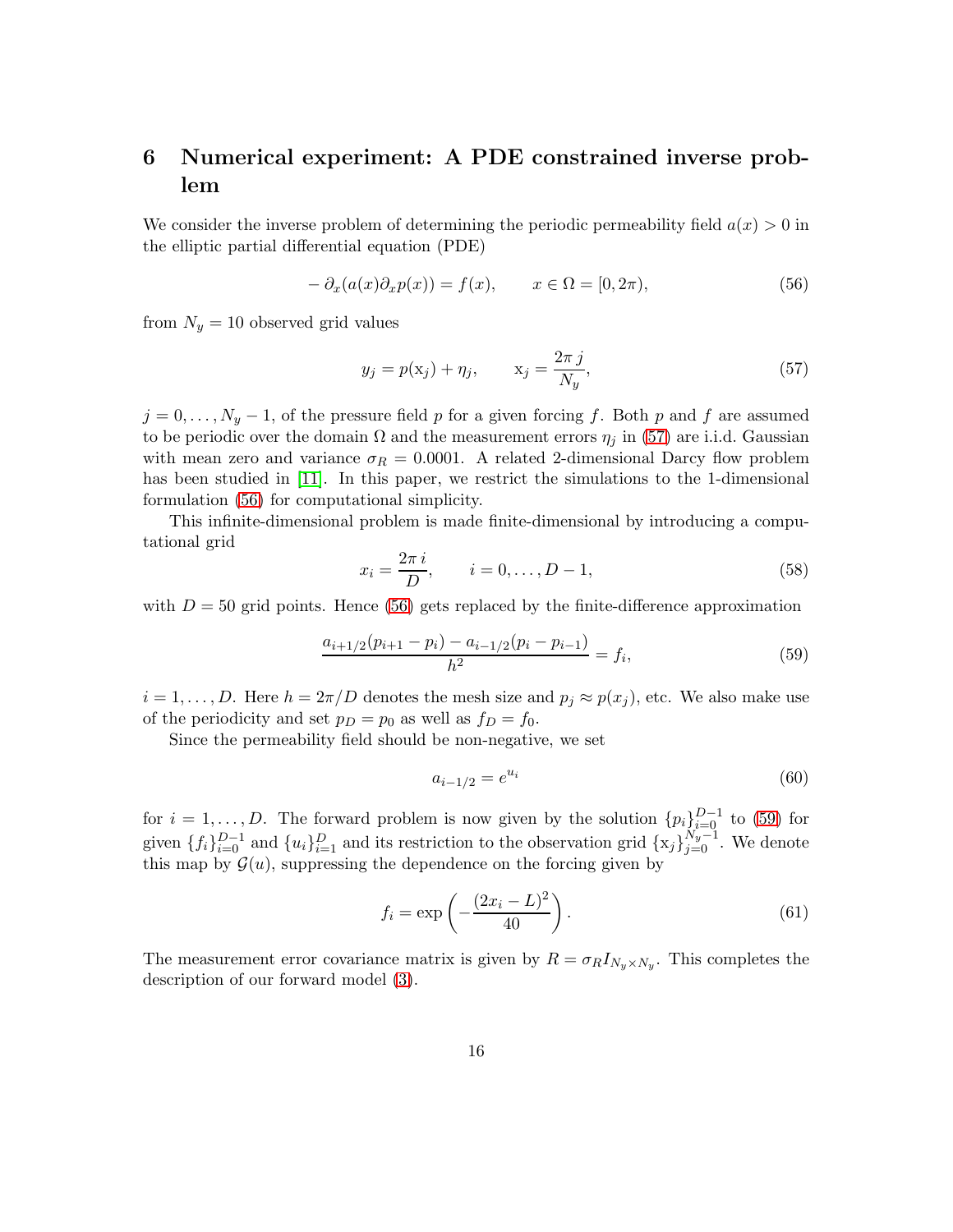# 6 Numerical experiment: A PDE constrained inverse problem

We consider the inverse problem of determining the periodic permeability field  $a(x) > 0$  in the elliptic partial differential equation (PDE)

<span id="page-15-1"></span>
$$
- \partial_x(a(x)\partial_x p(x)) = f(x), \qquad x \in \Omega = [0, 2\pi), \tag{56}
$$

from  $N_y = 10$  observed grid values

<span id="page-15-0"></span>
$$
y_j = p(\mathbf{x}_j) + \eta_j, \qquad \mathbf{x}_j = \frac{2\pi j}{N_y},\tag{57}
$$

 $j = 0, \ldots, N_y - 1$ , of the pressure field p for a given forcing f. Both p and f are assumed to be periodic over the domain  $\Omega$  and the measurement errors  $\eta_j$  in [\(57\)](#page-15-0) are i.i.d. Gaussian with mean zero and variance  $\sigma_R = 0.0001$ . A related 2-dimensional Darcy flow problem has been studied in [\[11\]](#page-26-5). In this paper, we restrict the simulations to the 1-dimensional formulation [\(56\)](#page-15-1) for computational simplicity.

This infinite-dimensional problem is made finite-dimensional by introducing a computational grid

$$
x_i = \frac{2\pi i}{D}, \qquad i = 0, \dots, D - 1,
$$
\n(58)

with  $D = 50$  grid points. Hence [\(56\)](#page-15-1) gets replaced by the finite-difference approximation

<span id="page-15-2"></span>
$$
\frac{a_{i+1/2}(p_{i+1}-p_i) - a_{i-1/2}(p_i-p_{i-1})}{h^2} = f_i,
$$
\n(59)

 $i = 1, \ldots, D$ . Here  $h = 2\pi/D$  denotes the mesh size and  $p_j \approx p(x_j)$ , etc. We also make use of the periodicity and set  $p_D = p_0$  as well as  $f_D = f_0$ .

Since the permeability field should be non-negative, we set

$$
a_{i-1/2} = e^{u_i} \tag{60}
$$

for  $i = 1, \ldots, D$ . The forward problem is now given by the solution  $\{p_i\}_{i=0}^{D-1}$  to [\(59\)](#page-15-2) for given  $\{f_i\}_{i=0}^{D-1}$  and  $\{u_i\}_{i=1}^D$  and its restriction to the observation grid  $\{x_j\}_{j=0}^{N_y-1}$ . We denote this map by  $\mathcal{G}(u)$ , suppressing the dependence on the forcing given by

$$
f_i = \exp\left(-\frac{(2x_i - L)^2}{40}\right). \tag{61}
$$

The measurement error covariance matrix is given by  $R = \sigma_R I_{N_y \times N_y}$ . This completes the description of our forward model [\(3\)](#page-2-2).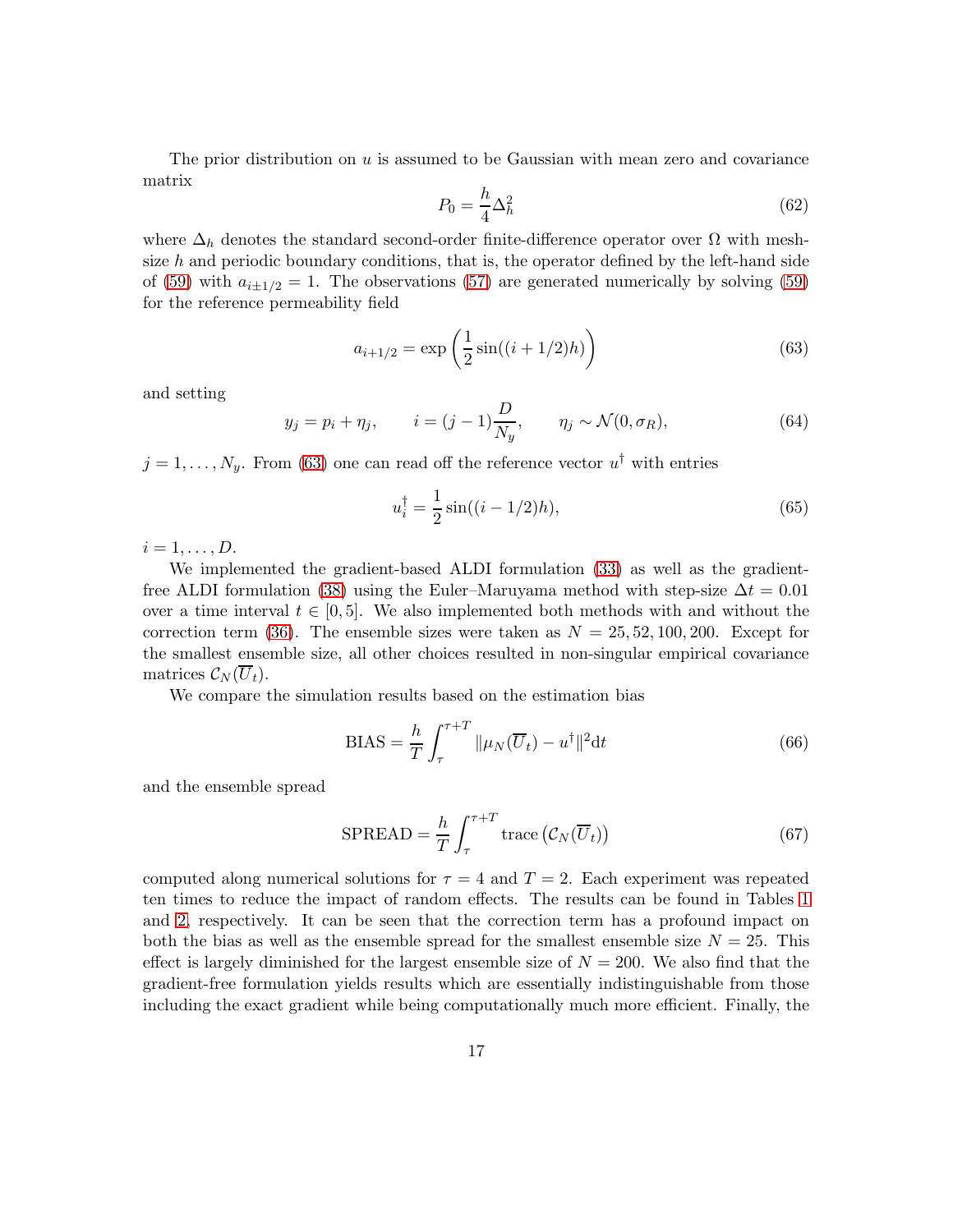The prior distribution on  $u$  is assumed to be Gaussian with mean zero and covariance matrix

$$
P_0 = \frac{h}{4} \Delta_h^2 \tag{62}
$$

where  $\Delta_h$  denotes the standard second-order finite-difference operator over  $\Omega$  with meshsize  $h$  and periodic boundary conditions, that is, the operator defined by the left-hand side of [\(59\)](#page-15-2) with  $a_{i\pm 1/2} = 1$ . The observations [\(57\)](#page-15-0) are generated numerically by solving (59) for the reference permeability field

<span id="page-16-0"></span>
$$
a_{i+1/2} = \exp\left(\frac{1}{2}\sin((i+1/2)h)\right)
$$
 (63)

and setting

$$
y_j = p_i + \eta_j, \qquad i = (j-1)\frac{D}{N_y}, \qquad \eta_j \sim \mathcal{N}(0, \sigma_R), \tag{64}
$$

 $j = 1, \ldots, N_y$ . From [\(63\)](#page-16-0) one can read off the reference vector  $u^{\dagger}$  with entries

$$
u_i^{\dagger} = \frac{1}{2}\sin((i - 1/2)h),\tag{65}
$$

 $i=1,\ldots,D$ .

We implemented the gradient-based ALDI formulation [\(33\)](#page-7-1) as well as the gradient-free ALDI formulation [\(38\)](#page-9-1) using the Euler–Maruyama method with step-size  $\Delta t = 0.01$ over a time interval  $t \in [0, 5]$ . We also implemented both methods with and without the correction term [\(36\)](#page-8-2). The ensemble sizes were taken as  $N = 25, 52, 100, 200$ . Except for the smallest ensemble size, all other choices resulted in non-singular empirical covariance matrices  $\mathcal{C}_N(\overline{U}_t)$ .

We compare the simulation results based on the estimation bias

<span id="page-16-1"></span>
$$
BIAS = \frac{h}{T} \int_{\tau}^{\tau+T} ||\mu_N(\overline{U}_t) - u^\dagger||^2 dt \qquad (66)
$$

and the ensemble spread

<span id="page-16-2"></span>
$$
SPREAD = \frac{h}{T} \int_{\tau}^{\tau+T} \text{trace} (\mathcal{C}_N(\overline{U}_t))
$$
\n(67)

computed along numerical solutions for  $\tau = 4$  and  $T = 2$ . Each experiment was repeated ten times to reduce the impact of random effects. The results can be found in Tables [1](#page-17-0) and [2,](#page-17-1) respectively. It can be seen that the correction term has a profound impact on both the bias as well as the ensemble spread for the smallest ensemble size  $N = 25$ . This effect is largely diminished for the largest ensemble size of  $N = 200$ . We also find that the gradient-free formulation yields results which are essentially indistinguishable from those including the exact gradient while being computationally much more efficient. Finally, the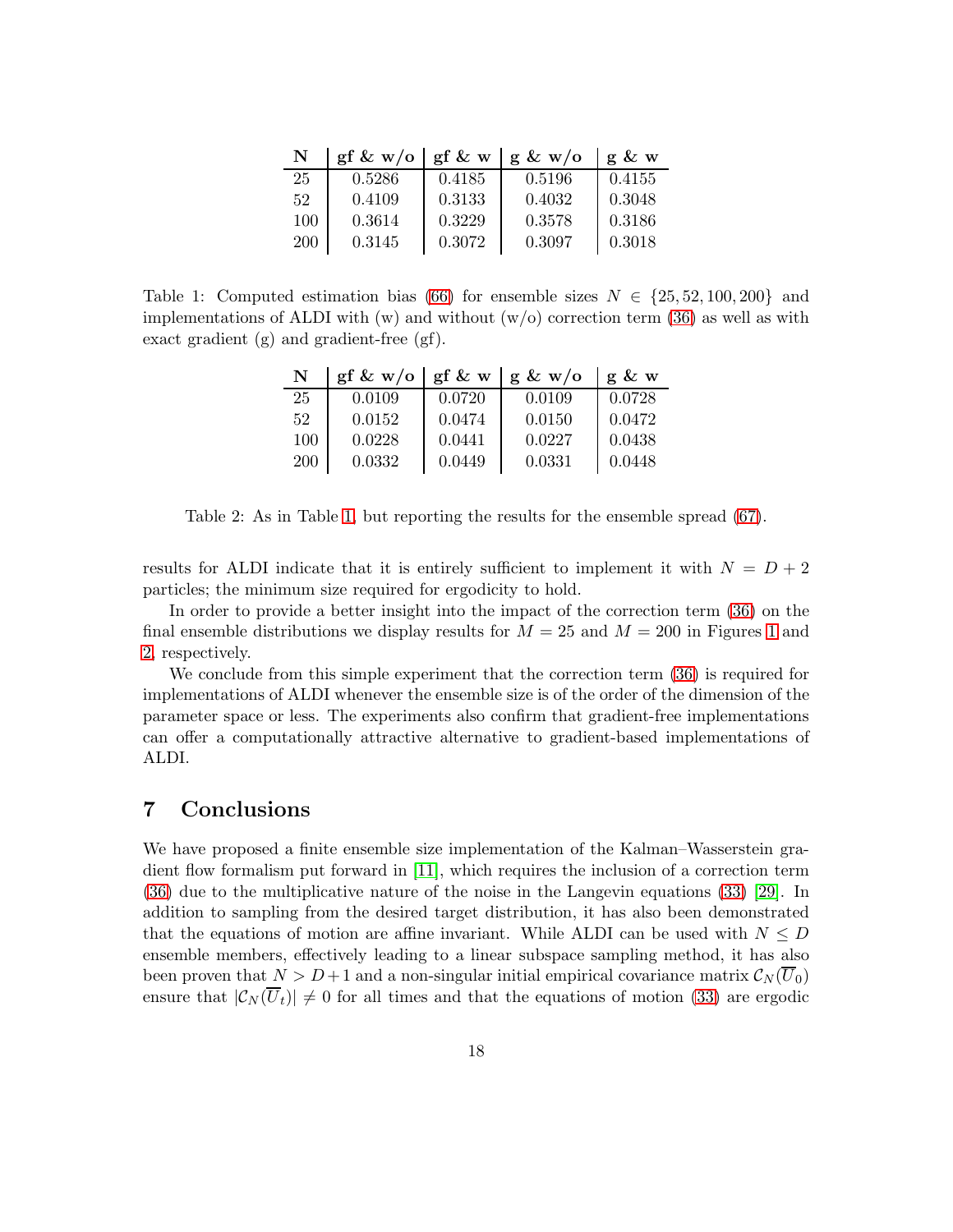| N   | gf & $w/o$ | $gf \& w$ | $g \& w/o$ | g & w  |
|-----|------------|-----------|------------|--------|
| 25  | 0.5286     | 0.4185    | 0.5196     | 0.4155 |
| 52  | 0.4109     | 0.3133    | 0.4032     | 0.3048 |
| 100 | 0.3614     | 0.3229    | 0.3578     | 0.3186 |
| 200 | 0.3145     | 0.3072    | 0.3097     | 0.3018 |

<span id="page-17-0"></span>Table 1: Computed estimation bias [\(66\)](#page-16-1) for ensemble sizes  $N \in \{25, 52, 100, 200\}$  and implementations of ALDI with  $(w)$  and without  $(w/o)$  correction term [\(36\)](#page-8-2) as well as with exact gradient (g) and gradient-free (gf).

| N   | gf & $w/o$ | $gf \& w$ | $g \& w/o$ | $g \& w$ |
|-----|------------|-----------|------------|----------|
| 25  | 0.0109     | 0.0720    | 0.0109     | 0.0728   |
| 52  | 0.0152     | 0.0474    | 0.0150     | 0.0472   |
| 100 | 0.0228     | 0.0441    | 0.0227     | 0.0438   |
| 200 | 0.0332     | 0.0449    | 0.0331     | 0.0448   |

<span id="page-17-1"></span>Table 2: As in Table [1,](#page-17-0) but reporting the results for the ensemble spread [\(67\)](#page-16-2).

results for ALDI indicate that it is entirely sufficient to implement it with  $N = D + 2$ particles; the minimum size required for ergodicity to hold.

In order to provide a better insight into the impact of the correction term [\(36\)](#page-8-2) on the final ensemble distributions we display results for  $M = 25$  and  $M = 200$  in Figures [1](#page-18-0) and [2,](#page-19-0) respectively.

We conclude from this simple experiment that the correction term [\(36\)](#page-8-2) is required for implementations of ALDI whenever the ensemble size is of the order of the dimension of the parameter space or less. The experiments also confirm that gradient-free implementations can offer a computationally attractive alternative to gradient-based implementations of ALDI.

### 7 Conclusions

We have proposed a finite ensemble size implementation of the Kalman–Wasserstein gradient flow formalism put forward in [\[11\]](#page-26-5), which requires the inclusion of a correction term [\(36\)](#page-8-2) due to the multiplicative nature of the noise in the Langevin equations [\(33\)](#page-7-1) [\[29\]](#page-27-4). In addition to sampling from the desired target distribution, it has also been demonstrated that the equations of motion are affine invariant. While ALDI can be used with  $N \leq D$ ensemble members, effectively leading to a linear subspace sampling method, it has also been proven that  $N > D+1$  and a non-singular initial empirical covariance matrix  $\mathcal{C}_N(\overline{U}_0)$ ensure that  $|\mathcal{C}_N(\overline{U}_t)| \neq 0$  for all times and that the equations of motion [\(33\)](#page-7-1) are ergodic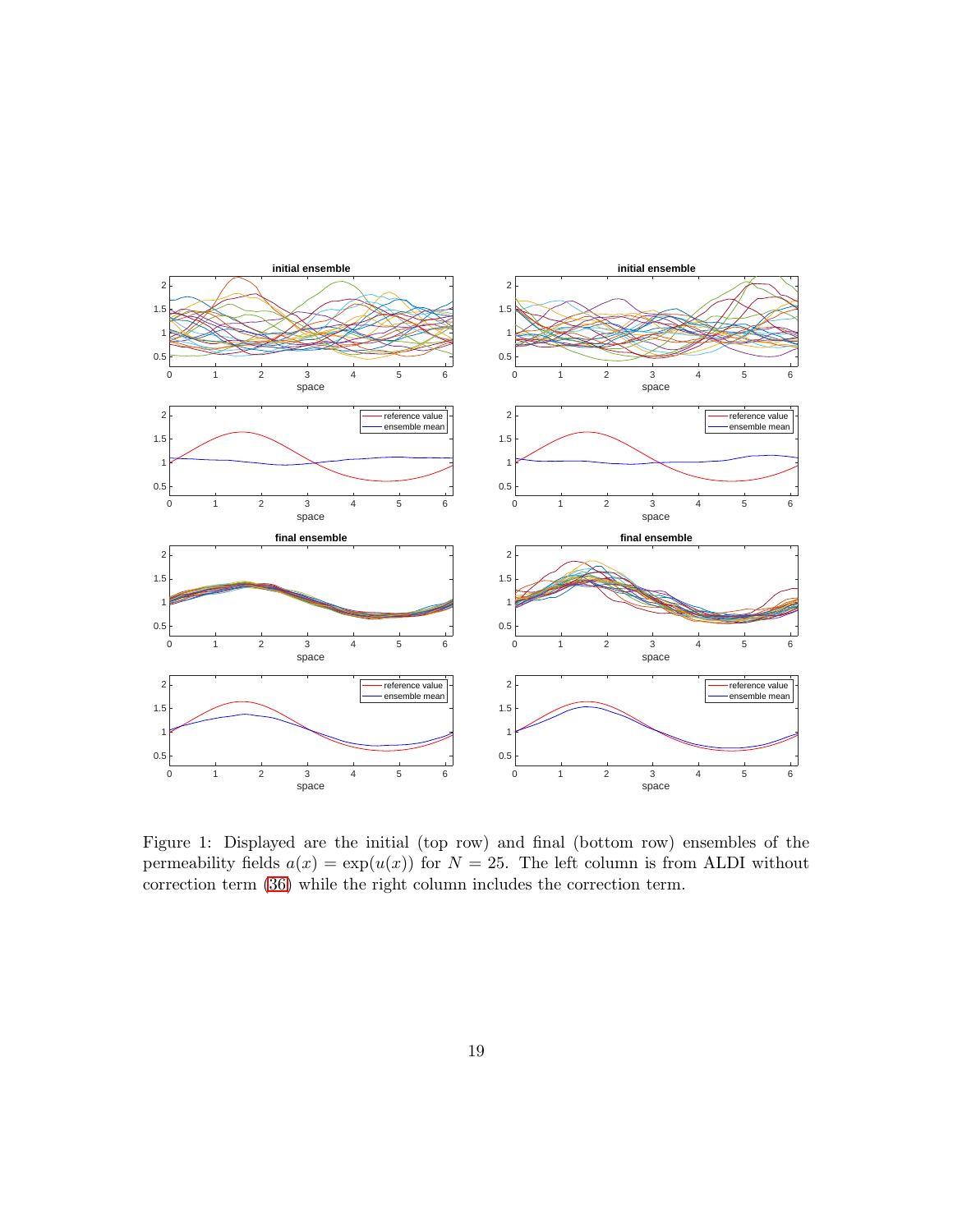

<span id="page-18-0"></span>Figure 1: Displayed are the initial (top row) and final (bottom row) ensembles of the permeability fields  $a(x) = \exp(u(x))$  for  $N = 25$ . The left column is from ALDI without correction term [\(36\)](#page-8-2) while the right column includes the correction term.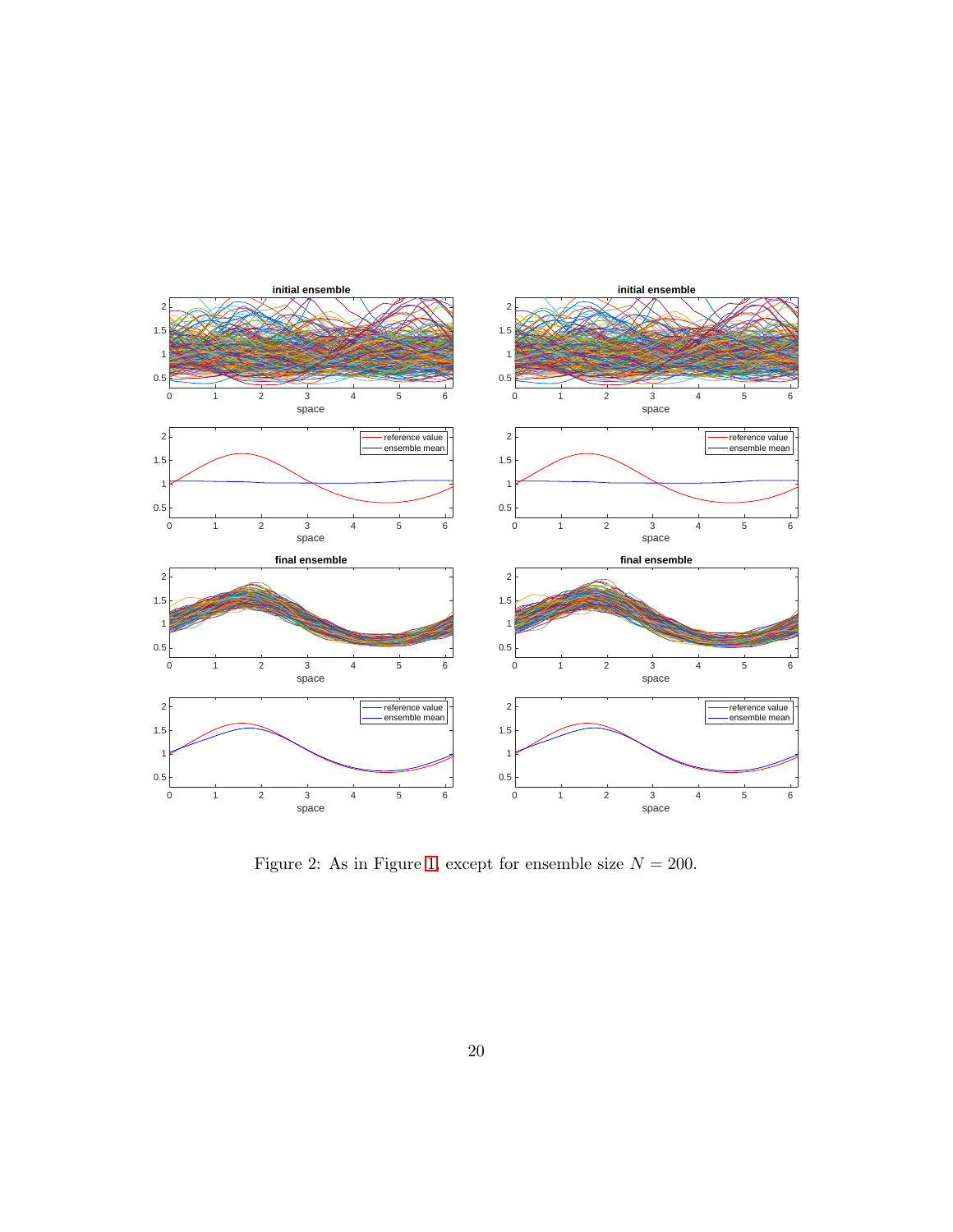

<span id="page-19-0"></span>Figure 2: As in Figure [1,](#page-18-0) except for ensemble size  $N = 200$ .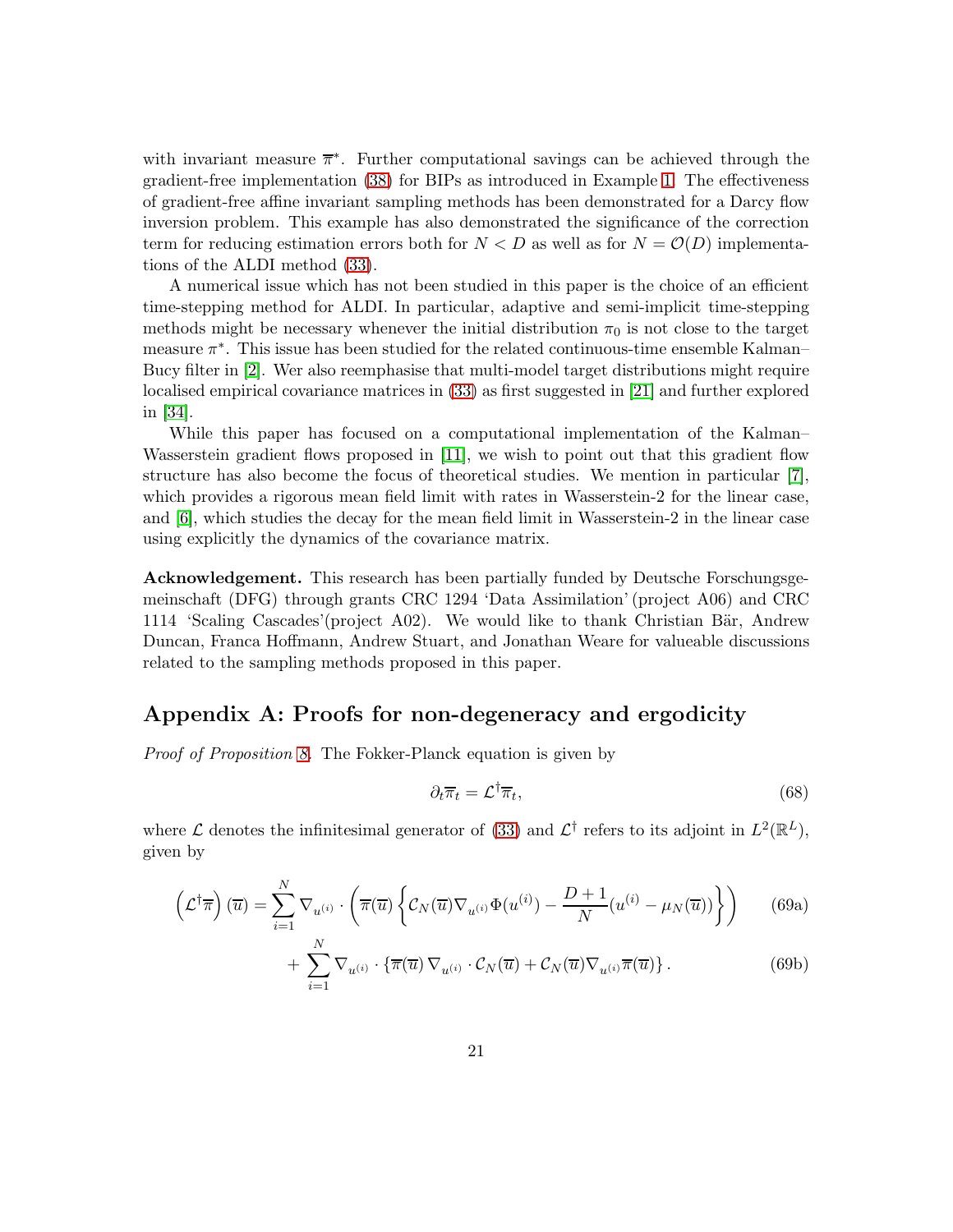with invariant measure  $\overline{\pi}^*$ . Further computational savings can be achieved through the gradient-free implementation [\(38\)](#page-9-1) for BIPs as introduced in Example [1.](#page-2-1) The effectiveness of gradient-free affine invariant sampling methods has been demonstrated for a Darcy flow inversion problem. This example has also demonstrated the significance of the correction term for reducing estimation errors both for  $N < D$  as well as for  $N = \mathcal{O}(D)$  implementations of the ALDI method [\(33\)](#page-7-1).

A numerical issue which has not been studied in this paper is the choice of an efficient time-stepping method for ALDI. In particular, adaptive and semi-implicit time-stepping methods might be necessary whenever the initial distribution  $\pi_0$  is not close to the target measure  $\pi^*$ . This issue has been studied for the related continuous-time ensemble Kalman– Bucy filter in [\[2\]](#page-25-4). Wer also reemphasise that multi-model target distributions might require localised empirical covariance matrices in [\(33\)](#page-7-1) as first suggested in [\[21\]](#page-26-3) and further explored in [\[34\]](#page-27-8).

While this paper has focused on a computational implementation of the Kalman– Wasserstein gradient flows proposed in [\[11\]](#page-26-5), we wish to point out that this gradient flow structure has also become the focus of theoretical studies. We mention in particular [\[7\]](#page-25-5), which provides a rigorous mean field limit with rates in Wasserstein-2 for the linear case, and [\[6\]](#page-25-6), which studies the decay for the mean field limit in Wasserstein-2 in the linear case using explicitly the dynamics of the covariance matrix.

Acknowledgement. This research has been partially funded by Deutsche Forschungsgemeinschaft (DFG) through grants CRC 1294 'Data Assimilation' (project A06) and CRC 1114 'Scaling Cascades'(project A02). We would like to thank Christian Bär, Andrew Duncan, Franca Hoffmann, Andrew Stuart, and Jonathan Weare for valueable discussions related to the sampling methods proposed in this paper.

## Appendix A: Proofs for non-degeneracy and ergodicity

Proof of Proposition [8.](#page-10-3) The Fokker-Planck equation is given by

$$
\partial_t \overline{\pi}_t = \mathcal{L}^\dagger \overline{\pi}_t,\tag{68}
$$

where  $\mathcal L$  denotes the infinitesimal generator of [\(33\)](#page-7-1) and  $\mathcal L^{\dagger}$  refers to its adjoint in  $L^2(\mathbb R^L)$ , given by

$$
\left(\mathcal{L}^{\dagger}\overline{\pi}\right)(\overline{u}) = \sum_{i=1}^{N} \nabla_{u^{(i)}} \cdot \left(\overline{\pi}(\overline{u}) \left\{ \mathcal{C}_{N}(\overline{u}) \nabla_{u^{(i)}} \Phi(u^{(i)}) - \frac{D+1}{N} (u^{(i)} - \mu_N(\overline{u})) \right\} \right) \tag{69a}
$$

$$
+\sum_{i=1}^{N} \nabla_{u^{(i)}} \cdot \{\overline{\pi}(\overline{u}) \nabla_{u^{(i)}} \cdot C_N(\overline{u}) + C_N(\overline{u}) \nabla_{u^{(i)}} \overline{\pi}(\overline{u})\}.
$$
 (69b)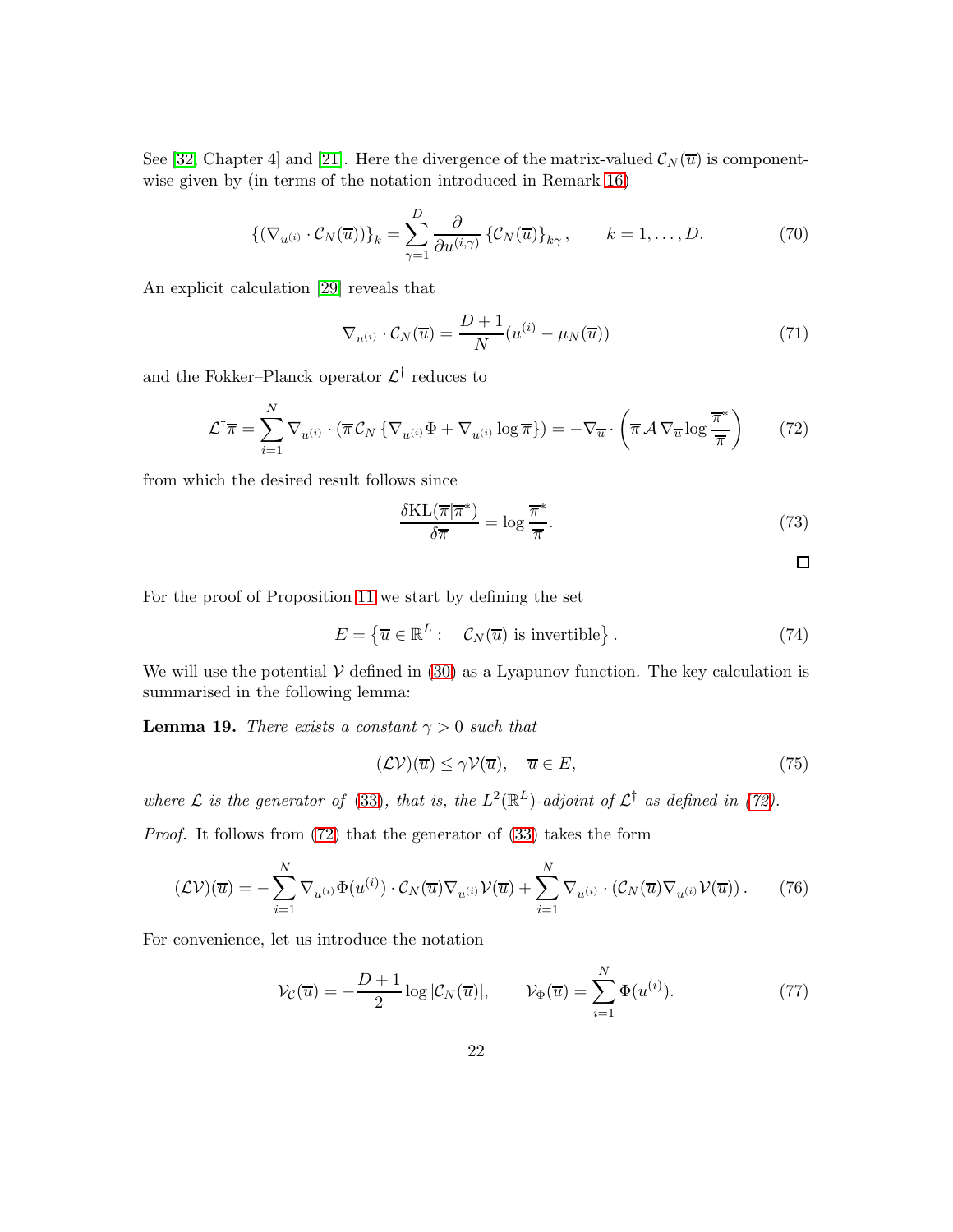See [\[32,](#page-27-0) Chapter 4] and [\[21\]](#page-26-3). Here the divergence of the matrix-valued  $\mathcal{C}_N(\overline{u})$  is componentwise given by (in terms of the notation introduced in Remark [16\)](#page-13-1)

$$
\left\{ \left( \nabla_{u^{(i)}} \cdot \mathcal{C}_N(\overline{u}) \right) \right\}_k = \sum_{\gamma=1}^D \frac{\partial}{\partial u^{(i,\gamma)}} \left\{ \mathcal{C}_N(\overline{u}) \right\}_{k\gamma}, \qquad k = 1, \dots, D. \tag{70}
$$

An explicit calculation [\[29\]](#page-27-4) reveals that

<span id="page-21-0"></span>
$$
\nabla_{u^{(i)}} \cdot \mathcal{C}_N(\overline{u}) = \frac{D+1}{N} (u^{(i)} - \mu_N(\overline{u})) \tag{71}
$$

and the Fokker–Planck operator  $\mathcal{L}^{\dagger}$  reduces to

<span id="page-21-1"></span>
$$
\mathcal{L}^{\dagger}\overline{\pi} = \sum_{i=1}^{N} \nabla_{u^{(i)}} \cdot (\overline{\pi} \mathcal{C}_N \{ \nabla_{u^{(i)}} \Phi + \nabla_{u^{(i)}} \log \overline{\pi} \}) = -\nabla_{\overline{u}} \cdot \left( \overline{\pi} \mathcal{A} \nabla_{\overline{u}} \log \frac{\overline{\pi}^*}{\overline{\pi}} \right)
$$
(72)

from which the desired result follows since

$$
\frac{\delta \text{KL}(\overline{\pi}|\overline{\pi}^*)}{\delta \overline{\pi}} = \log \frac{\overline{\pi}^*}{\overline{\pi}}.
$$
\n(73)

 $\Box$ 

For the proof of Proposition [11](#page-11-0) we start by defining the set

$$
E = \{ \overline{u} \in \mathbb{R}^L : \mathcal{C}_N(\overline{u}) \text{ is invertible} \}.
$$
 (74)

We will use the potential  $\mathcal V$  defined in [\(30\)](#page-7-2) as a Lyapunov function. The key calculation is summarised in the following lemma:

<span id="page-21-4"></span>**Lemma 19.** There exists a constant  $\gamma > 0$  such that

<span id="page-21-2"></span>
$$
(\mathcal{L}\mathcal{V})(\overline{u}) \le \gamma \mathcal{V}(\overline{u}), \quad \overline{u} \in E,
$$
\n<sup>(75)</sup>

where  $\mathcal L$  is the generator of [\(33\)](#page-7-1), that is, the  $L^2(\mathbb{R}^L)$ -adjoint of  $\mathcal L^{\dagger}$  as defined in [\(72\)](#page-21-1).

Proof. It follows from [\(72\)](#page-21-1) that the generator of [\(33\)](#page-7-1) takes the form

<span id="page-21-3"></span>
$$
(\mathcal{L}\mathcal{V})(\overline{u}) = -\sum_{i=1}^{N} \nabla_{u^{(i)}} \Phi(u^{(i)}) \cdot C_N(\overline{u}) \nabla_{u^{(i)}} \mathcal{V}(\overline{u}) + \sum_{i=1}^{N} \nabla_{u^{(i)}} \cdot (\mathcal{C}_N(\overline{u}) \nabla_{u^{(i)}} \mathcal{V}(\overline{u})).
$$
 (76)

For convenience, let us introduce the notation

$$
\mathcal{V}_{\mathcal{C}}(\overline{u}) = -\frac{D+1}{2}\log|\mathcal{C}_N(\overline{u})|, \qquad \mathcal{V}_{\Phi}(\overline{u}) = \sum_{i=1}^N \Phi(u^{(i)}).
$$
 (77)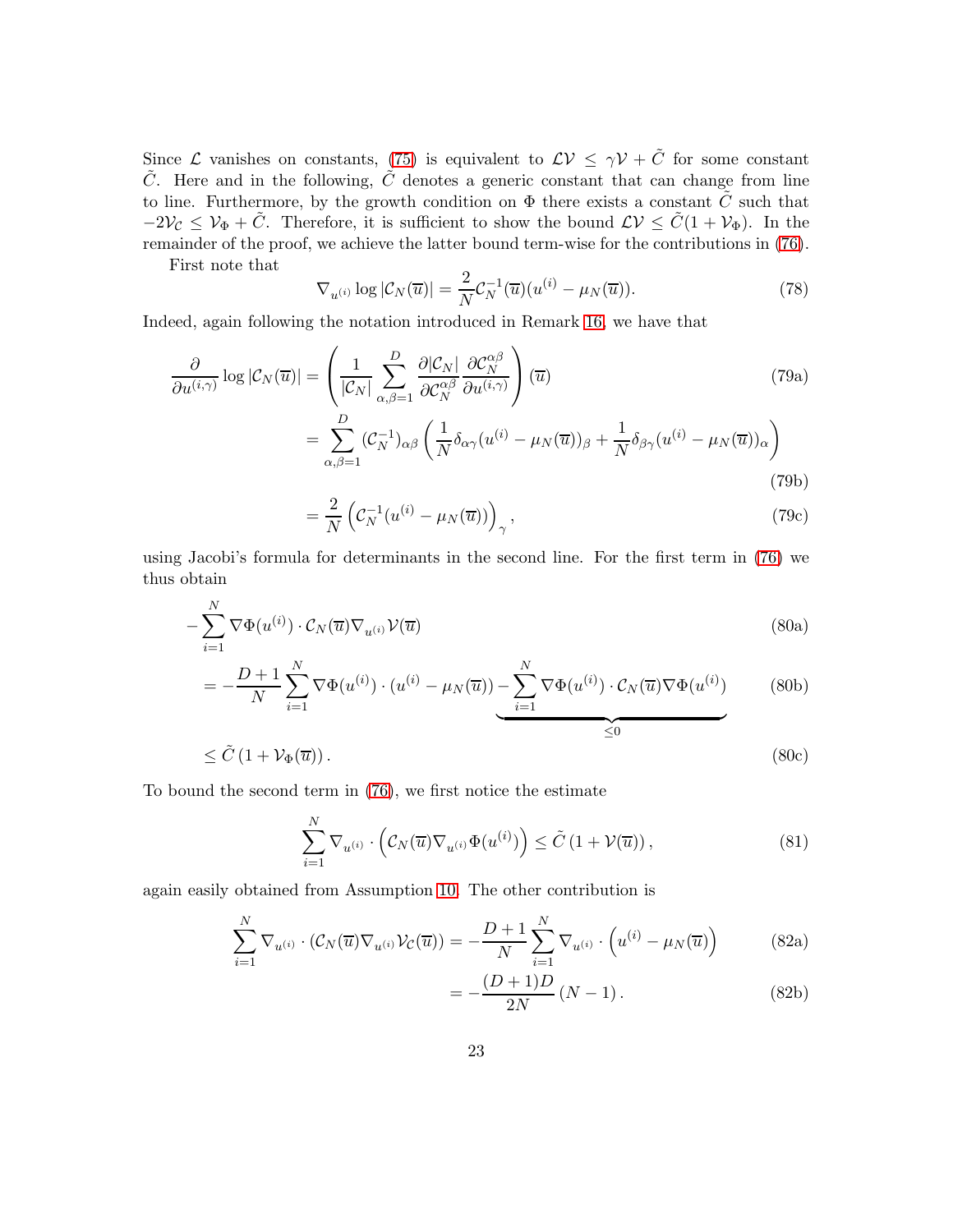Since  $\mathcal L$  vanishes on constants, [\(75\)](#page-21-2) is equivalent to  $\mathcal L V \leq \gamma \mathcal V + \tilde C$  for some constant  $\tilde{C}$ . Here and in the following,  $\tilde{C}$  denotes a generic constant that can change from line to line. Furthermore, by the growth condition on  $\Phi$  there exists a constant  $\tilde{C}$  such that  $-2\mathcal{V}_\mathcal{C} \leq \mathcal{V}_\Phi + \tilde{C}$ . Therefore, it is sufficient to show the bound  $\mathcal{L} \mathcal{V} \leq \tilde{C}(1 + \mathcal{V}_\Phi)$ . In the remainder of the proof, we achieve the latter bound term-wise for the contributions in [\(76\)](#page-21-3).

First note that

$$
\nabla_{u^{(i)}} \log |\mathcal{C}_N(\overline{u})| = \frac{2}{N} \mathcal{C}_N^{-1}(\overline{u}) (u^{(i)} - \mu_N(\overline{u})). \tag{78}
$$

Indeed, again following the notation introduced in Remark [16,](#page-13-1) we have that

$$
\frac{\partial}{\partial u^{(i,\gamma)}} \log |\mathcal{C}_N(\overline{u})| = \left( \frac{1}{|\mathcal{C}_N|} \sum_{\alpha,\beta=1}^D \frac{\partial |\mathcal{C}_N|}{\partial \mathcal{C}_N^{\alpha\beta}} \frac{\partial \mathcal{C}_N^{\alpha\beta}}{\partial u^{(i,\gamma)}} \right) (\overline{u})
$$
\n
$$
= \sum_{\alpha,\beta=1}^D (\mathcal{C}_N^{-1})_{\alpha\beta} \left( \frac{1}{N} \delta_{\alpha\gamma} (u^{(i)} - \mu_N(\overline{u}))_\beta + \frac{1}{N} \delta_{\beta\gamma} (u^{(i)} - \mu_N(\overline{u}))_\alpha \right)
$$
\n(79a)

$$
=\frac{2}{N}\left(\mathcal{C}_N^{-1}(u^{(i)}-\mu_N(\overline{u}))\right)_\gamma,\tag{79c}
$$

using Jacobi's formula for determinants in the second line. For the first term in [\(76\)](#page-21-3) we thus obtain

<span id="page-22-0"></span>
$$
-\sum_{i=1}^{N} \nabla \Phi(u^{(i)}) \cdot C_{N}(\overline{u}) \nabla_{u^{(i)}} \mathcal{V}(\overline{u})
$$
\n(80a)

$$
= -\frac{D+1}{N} \sum_{i=1}^{N} \nabla \Phi(u^{(i)}) \cdot (u^{(i)} - \mu_N(\overline{u})) - \sum_{i=1}^{N} \nabla \Phi(u^{(i)}) \cdot C_N(\overline{u}) \nabla \Phi(u^{(i)}) \tag{80b}
$$

$$
\leq \tilde{C} \left( 1 + \mathcal{V}_{\Phi}(\overline{u}) \right). \tag{80c}
$$

To bound the second term in [\(76\)](#page-21-3), we first notice the estimate

<span id="page-22-1"></span>
$$
\sum_{i=1}^{N} \nabla_{u^{(i)}} \cdot \left( \mathcal{C}_N(\overline{u}) \nabla_{u^{(i)}} \Phi(u^{(i)}) \right) \le \tilde{C} \left( 1 + \mathcal{V}(\overline{u}) \right),\tag{81}
$$

again easily obtained from Assumption [10.](#page-11-2) The other contribution is

$$
\sum_{i=1}^{N} \nabla_{u^{(i)}} \cdot (\mathcal{C}_N(\overline{u}) \nabla_{u^{(i)}} \mathcal{V}_\mathcal{C}(\overline{u})) = -\frac{D+1}{N} \sum_{i=1}^{N} \nabla_{u^{(i)}} \cdot \left(u^{(i)} - \mu_N(\overline{u})\right)
$$
(82a)

$$
=-\frac{(D+1)D}{2N}(N-1).
$$
 (82b)

≤0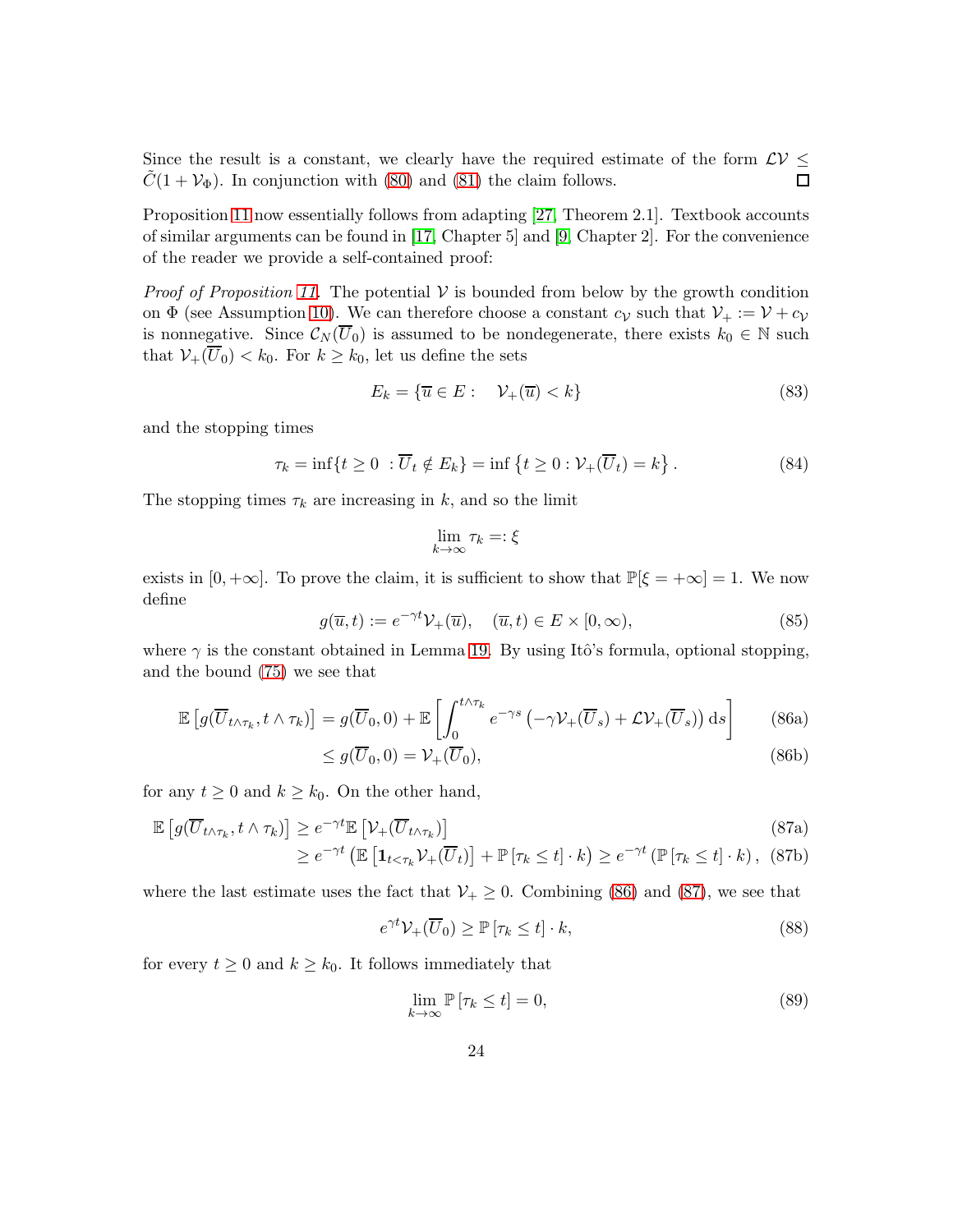Since the result is a constant, we clearly have the required estimate of the form  $\mathcal{LV} \leq \tilde{C}(1+\mathcal{V}_{\Phi})$ . In conjunction with (80) and (81) the claim follows.  $\tilde{C}(1 + V_{\Phi})$ . In conjunction with [\(80\)](#page-22-0) and [\(81\)](#page-22-1) the claim follows.

Proposition [11](#page-11-0) now essentially follows from adapting [\[27,](#page-27-12) Theorem 2.1]. Textbook accounts of similar arguments can be found in [\[17,](#page-26-12) Chapter 5] and [\[9,](#page-26-13) Chapter 2]. For the convenience of the reader we provide a self-contained proof:

*Proof of Proposition [11.](#page-11-0)* The potential  $V$  is bounded from below by the growth condition on  $\Phi$  (see Assumption [10\)](#page-11-2). We can therefore choose a constant  $c_V$  such that  $V_+ := V + c_V$ is nonnegative. Since  $\mathcal{C}_N(\overline{U}_0)$  is assumed to be nondegenerate, there exists  $k_0 \in \mathbb{N}$  such that  $\mathcal{V}_+(\overline{U}_0) < k_0$ . For  $k \geq k_0$ , let us define the sets

$$
E_k = \{ \overline{u} \in E : \quad \mathcal{V}_+(\overline{u}) < k \} \tag{83}
$$

and the stopping times

$$
\tau_k = \inf\{t \ge 0 \; : \overline{U}_t \notin E_k\} = \inf\left\{t \ge 0 : \mathcal{V}_+(\overline{U}_t) = k\right\}.
$$
\n(84)

The stopping times  $\tau_k$  are increasing in k, and so the limit

$$
\lim_{k \to \infty} \tau_k =: \xi
$$

exists in  $[0, +\infty]$ . To prove the claim, it is sufficient to show that  $\mathbb{P}[\xi = +\infty] = 1$ . We now define

<span id="page-23-0"></span>
$$
g(\overline{u},t) := e^{-\gamma t} \mathcal{V}_+(\overline{u}), \quad (\overline{u},t) \in E \times [0,\infty), \tag{85}
$$

where  $\gamma$  is the constant obtained in Lemma [19.](#page-21-4) By using Itô's formula, optional stopping, and the bound [\(75\)](#page-21-2) we see that

$$
\mathbb{E}\left[g(\overline{U}_{t\wedge\tau_k}, t\wedge\tau_k)\right] = g(\overline{U}_0, 0) + \mathbb{E}\left[\int_0^{t\wedge\tau_k} e^{-\gamma s} \left(-\gamma \mathcal{V}_+(\overline{U}_s) + \mathcal{L}\mathcal{V}_+(\overline{U}_s)\right) \mathrm{d}s\right]
$$
(86a)

<span id="page-23-1"></span>
$$
\leq g(\overline{U}_0, 0) = \mathcal{V}_+(\overline{U}_0),\tag{86b}
$$

for any  $t \geq 0$  and  $k \geq k_0$ . On the other hand,

$$
\mathbb{E}\left[g(\overline{U}_{t\wedge\tau_{k}},t\wedge\tau_{k})\right]\geq e^{-\gamma t}\mathbb{E}\left[\mathcal{V}_{+}(\overline{U}_{t\wedge\tau_{k}})\right]
$$
\n
$$
\geq e^{-\gamma t}\left(\mathbb{E}\left[\mathbf{1}_{t<\tau_{k}}\mathcal{V}_{+}(\overline{U}_{t})\right]+\mathbb{P}\left[\tau_{k}\leq t\right]\cdot k\right)\geq e^{-\gamma t}\left(\mathbb{P}\left[\tau_{k}\leq t\right]\cdot k\right),\quad(87b)
$$

where the last estimate uses the fact that  $V_+ \geq 0$ . Combining [\(86\)](#page-23-0) and [\(87\)](#page-23-1), we see that

$$
e^{\gamma t} \mathcal{V}_+(\overline{U}_0) \ge \mathbb{P}\left[\tau_k \le t\right] \cdot k,\tag{88}
$$

for every  $t \geq 0$  and  $k \geq k_0$ . It follows immediately that

$$
\lim_{k \to \infty} \mathbb{P} \left[ \tau_k \le t \right] = 0,\tag{89}
$$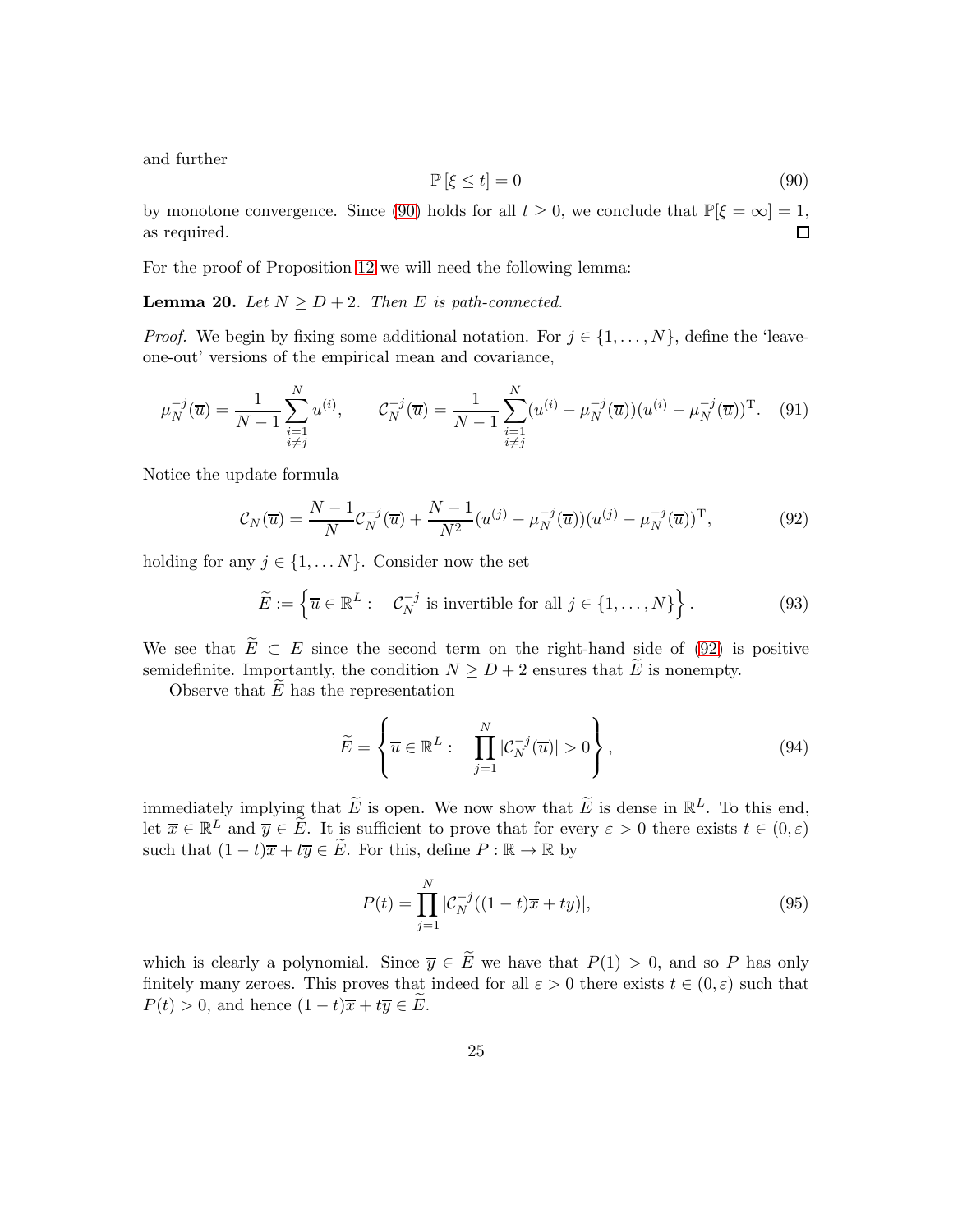and further

<span id="page-24-0"></span>
$$
\mathbb{P}\left[\xi \le t\right] = 0\tag{90}
$$

by monotone convergence. Since [\(90\)](#page-24-0) holds for all  $t \ge 0$ , we conclude that  $\mathbb{P}[\xi = \infty] = 1$ , as required. as required.

For the proof of Proposition [12](#page-11-3) we will need the following lemma:

<span id="page-24-2"></span>**Lemma 20.** Let  $N \geq D + 2$ . Then E is path-connected.

*Proof.* We begin by fixing some additional notation. For  $j \in \{1, \ldots, N\}$ , define the 'leaveone-out' versions of the empirical mean and covariance,

$$
\mu_N^{-j}(\overline{u}) = \frac{1}{N-1} \sum_{\substack{i=1 \ i \neq j}}^N u^{(i)}, \qquad \mathcal{C}_N^{-j}(\overline{u}) = \frac{1}{N-1} \sum_{\substack{i=1 \ i \neq j}}^N (u^{(i)} - \mu_N^{-j}(\overline{u})) (u^{(i)} - \mu_N^{-j}(\overline{u}))^{\mathrm{T}}.
$$
 (91)

Notice the update formula

<span id="page-24-1"></span>
$$
C_N(\overline{u}) = \frac{N-1}{N} C_N^{-j}(\overline{u}) + \frac{N-1}{N^2} (u^{(j)} - \mu_N^{-j}(\overline{u})) (u^{(j)} - \mu_N^{-j}(\overline{u}))^{\mathrm{T}},
$$
(92)

holding for any  $j \in \{1, \ldots N\}$ . Consider now the set

$$
\widetilde{E} := \left\{ \overline{u} \in \mathbb{R}^L : \quad \mathcal{C}_N^{-j} \text{ is invertible for all } j \in \{1, \dots, N\} \right\}. \tag{93}
$$

We see that  $\widetilde{E} \subset E$  since the second term on the right-hand side of [\(92\)](#page-24-1) is positive semidefinite. Importantly, the condition  $N \geq D+2$  ensures that E is nonempty.

Observe that  $E$  has the representation

$$
\widetilde{E} = \left\{ \overline{u} \in \mathbb{R}^L : \prod_{j=1}^N |\mathcal{C}_N^{-j}(\overline{u})| > 0 \right\},\tag{94}
$$

immediately implying that  $\widetilde{E}$  is open. We now show that  $\widetilde{E}$  is dense in  $\mathbb{R}^L$ . To this end, let  $\overline{x} \in \mathbb{R}^L$  and  $\overline{y} \in \widetilde{E}$ . It is sufficient to prove that for every  $\varepsilon > 0$  there exists  $t \in (0, \varepsilon)$ such that  $(1-t)\overline{x}+t\overline{y}\in \widetilde{E}$ . For this, define  $P:\mathbb{R}\to\mathbb{R}$  by

$$
P(t) = \prod_{j=1}^{N} |\mathcal{C}_N^{-j}((1-t)\overline{x} + ty)|,
$$
\n(95)

which is clearly a polynomial. Since  $\overline{y} \in \widetilde{E}$  we have that  $P(1) > 0$ , and so P has only finitely many zeroes. This proves that indeed for all  $\varepsilon > 0$  there exists  $t \in (0, \varepsilon)$  such that  $P(t) > 0$ , and hence  $(1-t)\overline{x} + t\overline{y} \in E$ .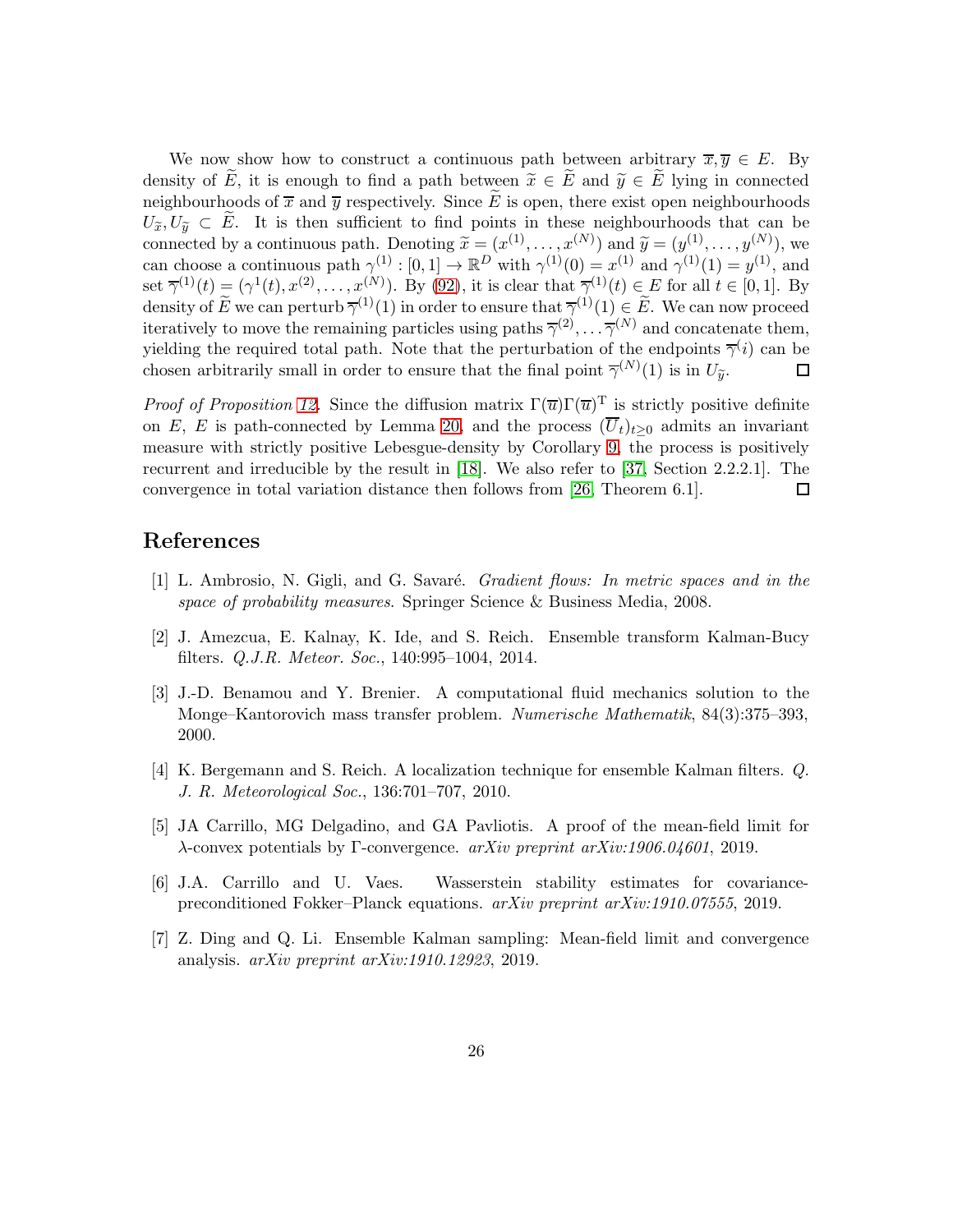We now show how to construct a continuous path between arbitrary  $\overline{x}, \overline{y} \in E$ . By density of  $\widetilde{E}$ , it is enough to find a path between  $\widetilde{x} \in \widetilde{E}$  and  $\widetilde{y} \in \widetilde{E}$  lying in connected neighbourhoods of  $\bar{x}$  and  $\bar{y}$  respectively. Since  $\tilde{E}$  is open, there exist open neighbourhoods  $U_{\widetilde{\pi}}, U_{\widetilde{\eta}} \subset \widetilde{E}$ . It is then sufficient to find points in these neighbourhoods that can be connected by a continuous path. Denoting  $\widetilde{x} = (x^{(1)}, \ldots, x^{(N)})$  and  $\widetilde{y} = (y^{(1)}, \ldots, y^{(N)})$ , we can choose a continuous path  $\gamma^{(1)} : [0,1] \to \mathbb{R}^D$  with  $\gamma^{(1)}(0) = x^{(1)}$  and  $\gamma^{(1)}(1) = y^{(1)}$ , and set  $\overline{\gamma}^{(1)}(t) \equiv (\gamma^1(t), x^{(2)}, \dots, x^{(N)}_s)$ . By [\(92\)](#page-24-1), it is clear that  $\overline{\gamma}^{(1)}(t) \in E$  for all  $t \in [0,1]$ . By density of E we can perturb  $\overline{\gamma}^{(1)}(1)$  in order to ensure that  $\overline{\gamma}^{(1)}(1) \in E$ . We can now proceed iteratively to move the remaining particles using paths  $\overline{\gamma}^{(2)}, \ldots, \overline{\gamma}^{(N)}$  and concatenate them, yielding the required total path. Note that the perturbation of the endpoints  $\overline{\gamma}^{(i)}$  can be chosen arbitrarily small in order to ensure that the final point  $\overline{\gamma}^{(N)}(1)$  is in  $U_{\tilde{y}}$ .  $\Box$ 

*Proof of Proposition [12.](#page-11-3)* Since the diffusion matrix  $\Gamma(\overline{u})\Gamma(\overline{u})^T$  is strictly positive definite on E, E is path-connected by Lemma [20,](#page-24-2) and the process  $(\overline{U}_t)_{t>0}$  admits an invariant measure with strictly positive Lebesgue-density by Corollary [9,](#page-10-4) the process is positively recurrent and irreducible by the result in [\[18\]](#page-26-14). We also refer to [\[37,](#page-28-1) Section 2.2.2.1]. The convergence in total variation distance then follows from [\[26,](#page-27-13) Theorem 6.1]. □

# <span id="page-25-0"></span>References

- <span id="page-25-4"></span>[1] L. Ambrosio, N. Gigli, and G. Savaré. *Gradient flows: In metric spaces and in the* space of probability measures. Springer Science & Business Media, 2008.
- <span id="page-25-2"></span>[2] J. Amezcua, E. Kalnay, K. Ide, and S. Reich. Ensemble transform Kalman-Bucy filters. Q.J.R. Meteor. Soc., 140:995–1004, 2014.
- [3] J.-D. Benamou and Y. Brenier. A computational fluid mechanics solution to the Monge–Kantorovich mass transfer problem. Numerische Mathematik, 84(3):375–393, 2000.
- <span id="page-25-3"></span><span id="page-25-1"></span>[4] K. Bergemann and S. Reich. A localization technique for ensemble Kalman filters. Q. J. R. Meteorological Soc., 136:701–707, 2010.
- <span id="page-25-6"></span>[5] JA Carrillo, MG Delgadino, and GA Pavliotis. A proof of the mean-field limit for λ-convex potentials by Γ-convergence. arXiv preprint arXiv:1906.04601, 2019.
- <span id="page-25-5"></span>[6] J.A. Carrillo and U. Vaes. Wasserstein stability estimates for covariancepreconditioned Fokker–Planck equations. arXiv preprint arXiv:1910.07555, 2019.
- [7] Z. Ding and Q. Li. Ensemble Kalman sampling: Mean-field limit and convergence analysis. arXiv preprint arXiv:1910.12923, 2019.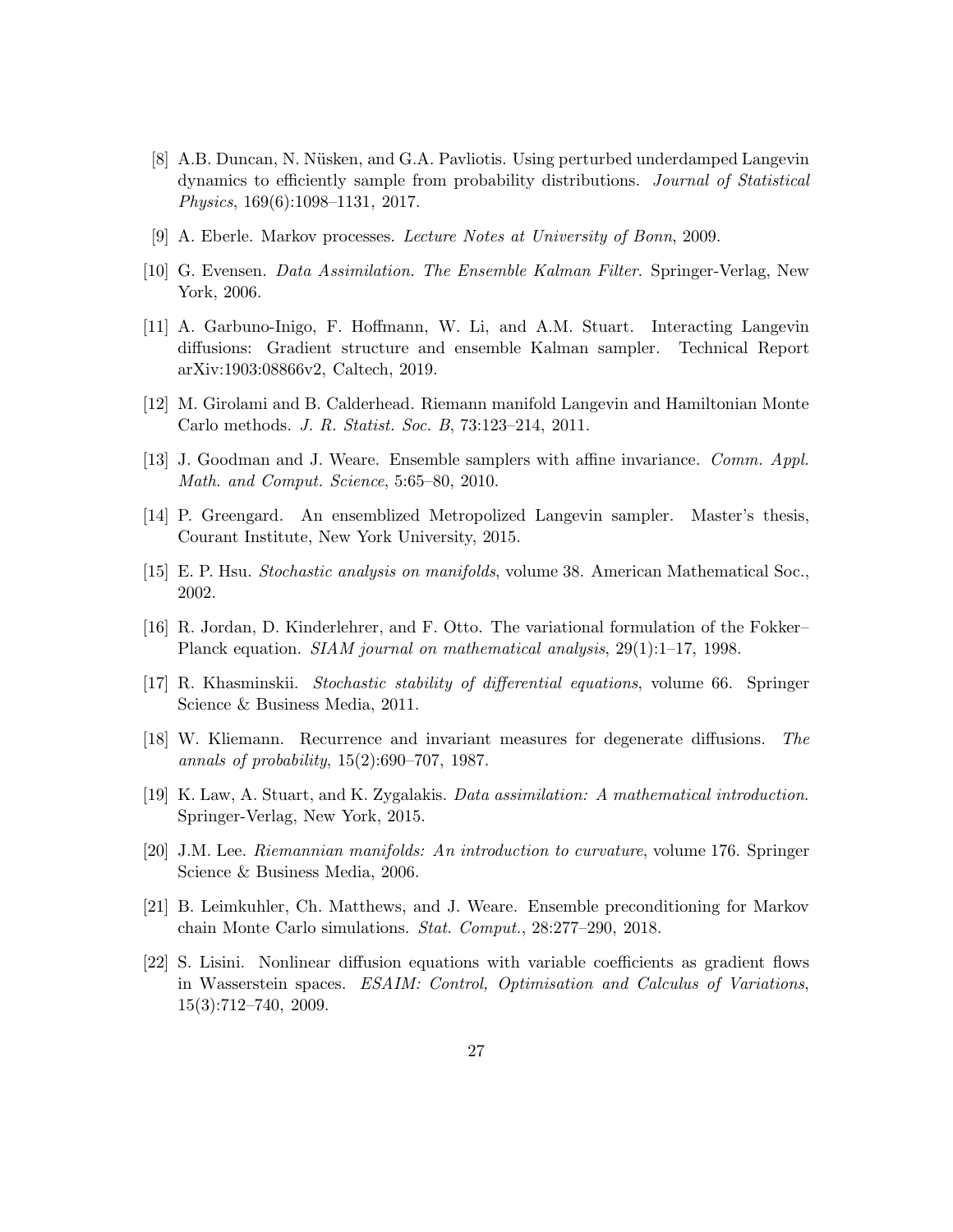- <span id="page-26-7"></span>[8] A.B. Duncan, N. N¨usken, and G.A. Pavliotis. Using perturbed underdamped Langevin dynamics to efficiently sample from probability distributions. Journal of Statistical Physics, 169(6):1098–1131, 2017.
- <span id="page-26-13"></span><span id="page-26-6"></span>[9] A. Eberle. Markov processes. Lecture Notes at University of Bonn, 2009.
- <span id="page-26-5"></span>[10] G. Evensen. Data Assimilation. The Ensemble Kalman Filter. Springer-Verlag, New York, 2006.
- [11] A. Garbuno-Inigo, F. Hoffmann, W. Li, and A.M. Stuart. Interacting Langevin diffusions: Gradient structure and ensemble Kalman sampler. Technical Report arXiv:1903:08866v2, Caltech, 2019.
- <span id="page-26-1"></span><span id="page-26-0"></span>[12] M. Girolami and B. Calderhead. Riemann manifold Langevin and Hamiltonian Monte Carlo methods. J. R. Statist. Soc. B, 73:123–214, 2011.
- <span id="page-26-2"></span>[13] J. Goodman and J. Weare. Ensemble samplers with affine invariance. Comm. Appl. Math. and Comput. Science, 5:65–80, 2010.
- <span id="page-26-9"></span>[14] P. Greengard. An ensemblized Metropolized Langevin sampler. Master's thesis, Courant Institute, New York University, 2015.
- <span id="page-26-8"></span>[15] E. P. Hsu. Stochastic analysis on manifolds, volume 38. American Mathematical Soc., 2002.
- [16] R. Jordan, D. Kinderlehrer, and F. Otto. The variational formulation of the Fokker– Planck equation. SIAM journal on mathematical analysis, 29(1):1–17, 1998.
- <span id="page-26-12"></span>[17] R. Khasminskii. Stochastic stability of differential equations, volume 66. Springer Science & Business Media, 2011.
- <span id="page-26-14"></span><span id="page-26-4"></span>[18] W. Kliemann. Recurrence and invariant measures for degenerate diffusions. The annals of probability, 15(2):690–707, 1987.
- <span id="page-26-10"></span>[19] K. Law, A. Stuart, and K. Zygalakis. Data assimilation: A mathematical introduction. Springer-Verlag, New York, 2015.
- <span id="page-26-3"></span>[20] J.M. Lee. Riemannian manifolds: An introduction to curvature, volume 176. Springer Science & Business Media, 2006.
- [21] B. Leimkuhler, Ch. Matthews, and J. Weare. Ensemble preconditioning for Markov chain Monte Carlo simulations. Stat. Comput., 28:277–290, 2018.
- <span id="page-26-11"></span>[22] S. Lisini. Nonlinear diffusion equations with variable coefficients as gradient flows in Wasserstein spaces. ESAIM: Control, Optimisation and Calculus of Variations, 15(3):712–740, 2009.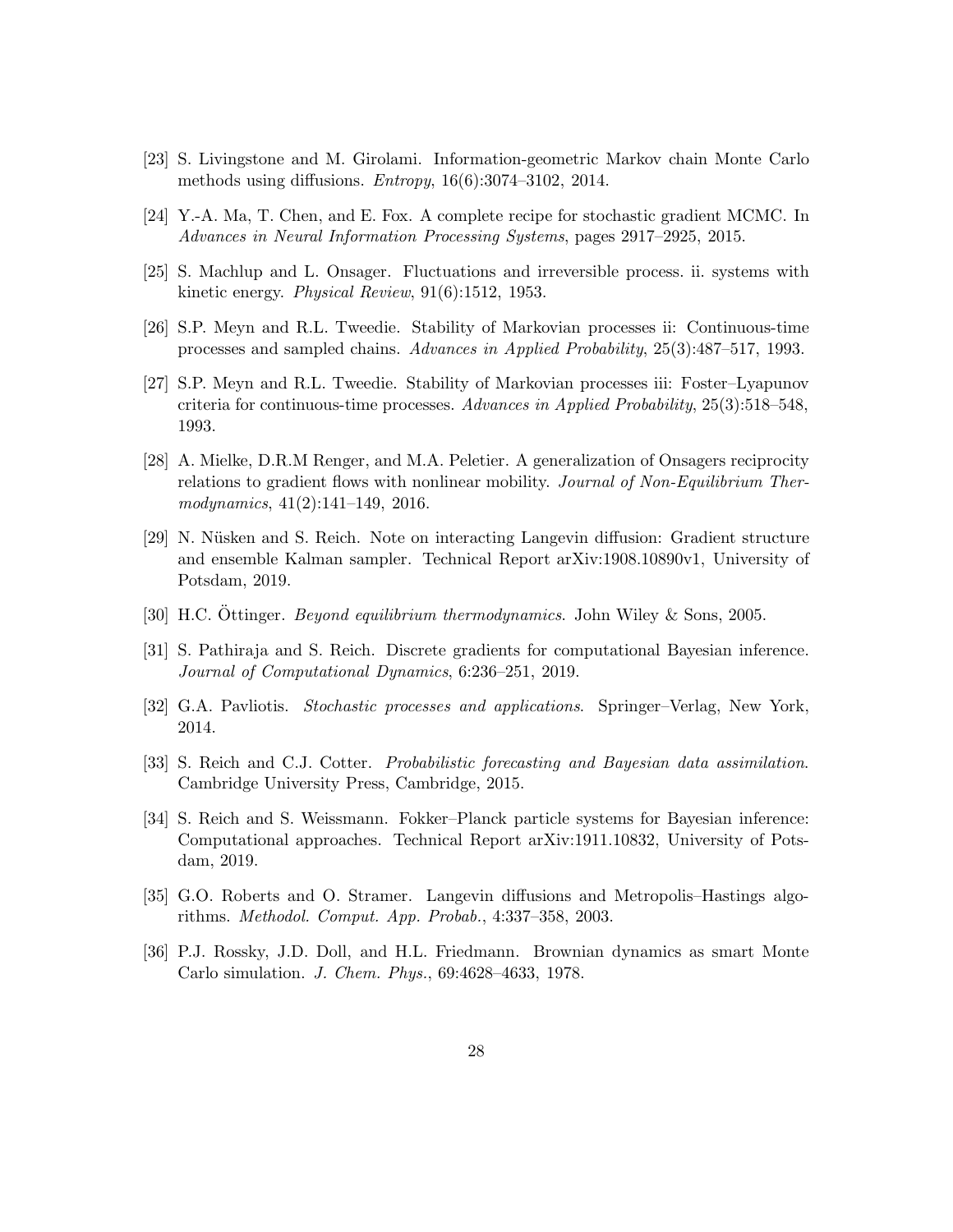- <span id="page-27-6"></span><span id="page-27-5"></span>[23] S. Livingstone and M. Girolami. Information-geometric Markov chain Monte Carlo methods using diffusions. Entropy, 16(6):3074–3102, 2014.
- <span id="page-27-9"></span>[24] Y.-A. Ma, T. Chen, and E. Fox. A complete recipe for stochastic gradient MCMC. In Advances in Neural Information Processing Systems, pages 2917–2925, 2015.
- <span id="page-27-13"></span>[25] S. Machlup and L. Onsager. Fluctuations and irreversible process. ii. systems with kinetic energy. Physical Review, 91(6):1512, 1953.
- <span id="page-27-12"></span>[26] S.P. Meyn and R.L. Tweedie. Stability of Markovian processes ii: Continuous-time processes and sampled chains. Advances in Applied Probability, 25(3):487–517, 1993.
- [27] S.P. Meyn and R.L. Tweedie. Stability of Markovian processes iii: Foster–Lyapunov criteria for continuous-time processes. Advances in Applied Probability, 25(3):518–548, 1993.
- <span id="page-27-10"></span>[28] A. Mielke, D.R.M Renger, and M.A. Peletier. A generalization of Onsagers reciprocity relations to gradient flows with nonlinear mobility. Journal of Non-Equilibrium Thermodynamics, 41(2):141–149, 2016.
- <span id="page-27-4"></span>[29] N. Nüsken and S. Reich. Note on interacting Langevin diffusion: Gradient structure and ensemble Kalman sampler. Technical Report arXiv:1908.10890v1, University of Potsdam, 2019.
- <span id="page-27-11"></span><span id="page-27-7"></span>[30] H.C. Öttinger. Beyond equilibrium thermodynamics. John Wiley & Sons, 2005.
- [31] S. Pathiraja and S. Reich. Discrete gradients for computational Bayesian inference. Journal of Computational Dynamics, 6:236–251, 2019.
- <span id="page-27-3"></span><span id="page-27-0"></span>[32] G.A. Pavliotis. Stochastic processes and applications. Springer–Verlag, New York, 2014.
- [33] S. Reich and C.J. Cotter. *Probabilistic forecasting and Bayesian data assimilation*. Cambridge University Press, Cambridge, 2015.
- <span id="page-27-8"></span>[34] S. Reich and S. Weissmann. Fokker–Planck particle systems for Bayesian inference: Computational approaches. Technical Report arXiv:1911.10832, University of Potsdam, 2019.
- <span id="page-27-2"></span><span id="page-27-1"></span>[35] G.O. Roberts and O. Stramer. Langevin diffusions and Metropolis–Hastings algorithms. Methodol. Comput. App. Probab., 4:337–358, 2003.
- [36] P.J. Rossky, J.D. Doll, and H.L. Friedmann. Brownian dynamics as smart Monte Carlo simulation. J. Chem. Phys., 69:4628–4633, 1978.